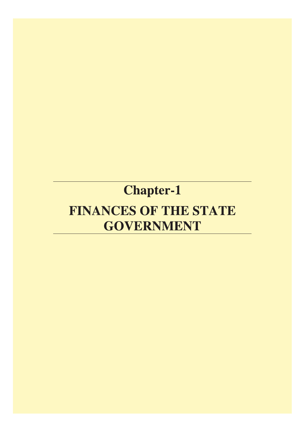# **Chapter-1**

# FINANCES OF THE STATE **GOVERNMENT**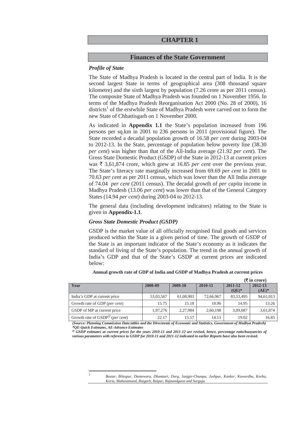## **CHAPTER 1**

## **Finances of the State Government**

#### *Profile of State*

The State of Madhya Pradesh is located in the central part of India. It is the second largest State in terms of geographical area (308 thousand square kilometre) and the sixth largest by population (7.26 crore as per 2011 census). The composite State of Madhya Pradesh was founded on 1 November 1956. In terms of the Madhya Pradesh Reorganisation Act 2000 (No. 28 of 2000), 16 districts<sup>1</sup> of the erstwhile State of Madhya Pradesh were carved out to form the new State of Chhattisgarh on 1 November 2000.

As indicated in **Appendix 1.1** the State's population increased from 196 persons per sq.km in 2001 to 236 persons in 2011 (provisional figure). The State recorded a decadal population growth of 16.58 *per cent* during 2003-04 to 2012-13. In the State, percentage of population below poverty line (38.30 *per cent*) was higher than that of the All-India average (21.92 *per cent*). The Gross State Domestic Product (GSDP) of the State in 2012-13 at current prices was  $\bar{\tau}$  3,61,874 crore, which grew at 16.85 *per cent* over the previous year. The State's literacy rate marginally increased from 69.69 *per cent* in 2001 to 70.63 *per cent* as per 2011 census, which was lower than the All India average of 74.04 *per cent* (2011 census). The decadal growth of *per capita* income in Madhya Pradesh (13.06 *per cent*) was lower than that of the General Category States (14.94 *per cent*) during 2003-04 to 2012-13.

The general data (including development indicators) relating to the State is given in **Appendix-1.1**.

#### *Gross State Domestic Product (GSDP)*

<u> Alexandria de la contrada de la contrada de la contrada de la contrada de la contrada de la contrada de la c</u>

GSDP is the market value of all officially recognised final goods and services produced within the State in a given period of time. The growth of GSDP of the State is an important indicator of the State's economy as it indicates the standard of living of the State's population. The trend in the annual growth of India's GDP and that of the State's GSDP at current prices are indicated below:

|                                        |           |           |           |                    | $\lambda$ in crore, |
|----------------------------------------|-----------|-----------|-----------|--------------------|---------------------|
| Year                                   | 2008-09   | 2009-10   | 2010-11   | 2011-12<br>$(OE)*$ | 2012-13<br>$(AE)^*$ |
| India's GDP at current price           | 53,03,567 | 61,08,903 | 72,66,967 | 83,53,495          | 94,61,013           |
| Growth rate of GDP ( <i>per cent</i> ) | 15.75     | 15.18     | 18.96     | 14.95              | 13.26               |
| GSDP of MP at current price            | 1,97,276  | 2,27,984  | 2,60,198  | 3,09,687           | 3,61,874            |
| Growth rate of $GSDP^@$ (per cent)     | 22.17     | 15.57     | 14.13     | 19.02              | 16.85               |

**Annual growth rate of GDP of India and GSDP of Madhya Pradesh at current prices** 

 **(**` **in crore)** 

*(Source: Planning Commission Data tables and the Directorate of Economic and Statistics, Government of Madhya Pradesh) \*QE-Quick Estimates, AE-Advance Estimates* 

**@** *GSDP estimates at current prices for the years 2010-11 and 2011-12 are revised, hence, percentage ratio/buoyancies of various parameters with reference to GSDP for 2010-11 and 2011-12 indicated in earlier Reports have also been revised.* 

> *<sup>1</sup> Bastar, Bilaspur, Dantewara, Dhamtari, Durg, Janjgir-Champa, Jashpur, Kanker, Kawardha, Korba, Koria, Mahasamund, Raigarh, Raipur, Rajnandgaon and Surguja.*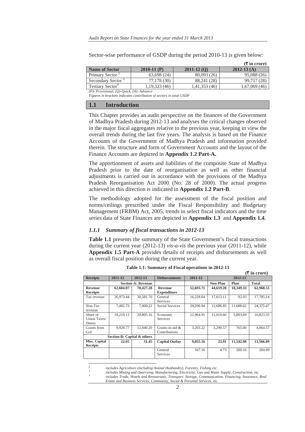Sector-wise performance of GSDP during the period 2010-13 is given below:

|                                             |                 |                | $(\bar{\bar{\mathbf{x}}}$ in crore) |
|---------------------------------------------|-----------------|----------------|-------------------------------------|
| <b>Name of Sector</b>                       | $2010-11$ (P)   | $2011 - 12(0)$ | $2012 - 13$ (A)                     |
| Primary Sector <sup>2</sup>                 | 63,698 (24)     | 80,093 (26)    | 95,088 (26)                         |
| Secondary Sector <sup>3</sup>               | 77,178 (30)     | 88,241 (28)    | 99,717 (28)                         |
| Tertiary Sector <sup>4</sup>                | 1, 19, 323 (46) | 1,41,353 (46)  | 1,67,069(46)                        |
| $(D)$ Drawisianal $(D)$ Quick $(A)$ Advance |                 |                |                                     |

*(P)- Provisional, (Q)-Quick, (A)- Advance Figures in brackets indicates contribution of sectors in total GSDP* 

#### **1.1 Introduction**

This Chapter provides an audit perspective on the finances of the Government of Madhya Pradesh during 2012-13 and analyses the critical changes observed in the major fiscal aggregates relative to the previous year, keeping in view the overall trends during the last five years. The analysis is based on the Finance Accounts of the Government of Madhya Pradesh and information provided therein. The structure and form of Government Accounts and the layout of the Finance Accounts are depicted in **Appendix 1.2 Part-A.**

The apportionment of assets and liabilities of the composite State of Madhya Pradesh prior to the date of reorganisation as well as other financial adjustments is carried out in accordance with the provisions of the Madhya Pradesh Reorganisation Act 2000 (No. 28 of 2000). The actual progress achieved in this direction is indicated in **Appendix 1.2 Part-B**.

The methodology adopted for the assessment of the fiscal position and norms/ceilings prescribed under the Fiscal Responsibility and Budgetary Management (FRBM) Act, 2005, trends in select fiscal indicators and the time series data of State Finances are depicted in **Appendix 1.3** and **Appendix 1.4**.

#### *1.1.1 Summary of fiscal transactions in 2012-13*

**Table 1.1** presents the summary of the State Government's fiscal transactions during the current year (2012-13) *vis-a-vis* the previous year (2011-12), while **Appendix 1.5 Part-A** provides details of receipts and disbursements as well as overall fiscal position during the current year.

|                 |                             |                           |                       |           | $(\overline{\mathbf{\mathcal{F}}}$ in crore) |           |              |  |
|-----------------|-----------------------------|---------------------------|-----------------------|-----------|----------------------------------------------|-----------|--------------|--|
| <b>Receipts</b> | 2011-12                     | 2012-13                   | <b>Disbursements</b>  | 2011-12   |                                              | 2012-13   |              |  |
|                 |                             | <b>Section-A: Revenue</b> |                       |           | <b>Non-Plan</b><br>Plan                      |           | <b>Total</b> |  |
| Revenue         | 62,604.07                   | 70,427.28                 | <b>Revenue</b>        | 52,693.71 | 44,619.20                                    | 18.349.33 | 62,968.53    |  |
| <b>Receipts</b> |                             |                           | <b>Expenditure</b>    |           |                                              |           |              |  |
| Tax revenue     | 26,973.44                   | 30,581.70                 | General               | 16,228.64 | 17,613.11                                    | 92.03     | 17,705.14    |  |
|                 |                             |                           | Services              |           |                                              |           |              |  |
| Non-Tax         | 7,482.73                    | 7,000.22                  | Social Services       | 20,296.94 | 12,686.85                                    | 11,688.62 | 24,375.47    |  |
| revenue         |                             |                           |                       |           |                                              |           |              |  |
| Share of        | 18,219.13                   | 20,805.16                 | Economic              | 12,964.91 | 11,019.66                                    | 5,803.69  | 16,823.35    |  |
| Union Taxes/    |                             |                           | Services              |           |                                              |           |              |  |
| Duties          |                             |                           |                       |           |                                              |           |              |  |
| Grants from     | 9,928.77                    | 12,040.20                 | Grants-in-aid &       | 3,203.22  | 3,299.57                                     | 765.00    | 4,064.57     |  |
| GoI             |                             |                           | Contributions         |           |                                              |           |              |  |
|                 | Section-B: Capital & others |                           |                       |           |                                              |           |              |  |
| Misc. Capital   | 22.65                       | 31.45                     | <b>Capital Outlay</b> | 9,055.16  | 23.91                                        | 11,542.98 | 11,566.89    |  |
| <b>Receipts</b> |                             |                           |                       |           |                                              |           |              |  |
|                 |                             |                           | General               | 167.16    | 4.73                                         | 200.16    | 204.89       |  |
|                 |                             |                           | Services              |           |                                              |           |              |  |
|                 |                             |                           |                       |           |                                              |           |              |  |

**Table 1.1: Summary of Fiscal operations in 2012-13** 

*<sup>2</sup> includes Agriculture (including Animal Husbandry), Forestry, Fishing etc. 3*

<u> Andrew Maria (1995)</u>

*4*

 *includes Mining and Quarrying, Manufacturing, Electricity, Gas and Water Supply, Construction, etc. includes Trade, Hotels and Restaurants, Transport, Storage, Communication, Financing, Insurance, Real Estate and Business Services, Community, Social & Personal Services, etc.*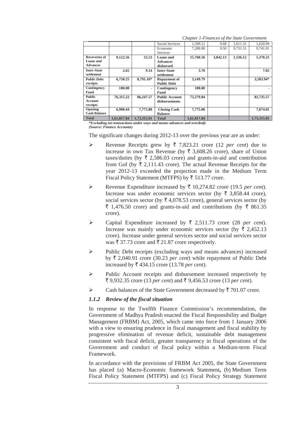|                                                      |             |             | Social Services                           | 1.599.12    | 9.68     | 1,611.31 | 1,620.99    |
|------------------------------------------------------|-------------|-------------|-------------------------------------------|-------------|----------|----------|-------------|
|                                                      |             |             | Economic<br>Services                      | 7.288.88    | 9.50     | 9.731.51 | 9,741.01    |
| <b>Recoveries of</b><br>Loans and<br><b>Advances</b> | 9,122.56    | 32.53       | Loans and<br><b>Advances</b><br>disbursed | 15,760.56   | 3,842.13 | 1,536.12 | 5,378.25    |
| <b>Inter-State</b><br>settlement                     | 2.65        | 9.14        | <b>Inter-State</b><br>settlement          | 3.70        |          |          | 7.02        |
| <b>Public Debt</b><br>receipts                       | 6,750.25    | 8,791.16*   | <b>Repayment of</b><br><b>Public Debt</b> | 3,149.79    |          |          | 3,583.94*   |
| Contingency<br>Fund                                  | 100.00      | ۰.          | Contingency<br>Fund                       | 100.00      |          |          |             |
| <b>Public</b><br>Account<br>receipts                 | 76,315.22   | 86,247.57   | <b>Public Account</b><br>disbursements    | 73,279.04   |          |          | 82,735.57   |
| Opening<br><b>Cash Balance</b>                       | 6.900.44    | 7,775.88    | <b>Closing Cash</b><br><b>Balance</b>     | 7,775.88    |          |          | 7.074.81    |
| <b>Total</b>                                         | 1,61,817.84 | 1,73,315.01 | <b>Total</b>                              | 1,61,817.84 |          |          | 1,73,315.01 |

*Chapter 1-Finances of the State Government* 

*\*Excluding net transactions under ways and means advances and overdraft. (Source: Finance Accounts)* 

The significant changes during 2012-13 over the previous year are as under:

- Revenue Receipts grew by  $\bar{\tau}$  7,823.21 crore (12 *per cent*) due to increase in own Tax Revenue (by  $\bar{\tau}$  3,608.26 crore), share of Union taxes/duties (by  $\overline{\tau}$  2,586.03 crore) and grants-in-aid and contribution from GoI (by  $\bar{\tau}$  2.111.43 crore). The actual Revenue Receipts for the year 2012-13 exceeded the projection made in the Medium Term Fiscal Policy Statement (MTFPS) by  $\overline{\xi}$  513.77 crore.
- Expenditure increased by  $\bar{\tau}$  10,274.82 crore (19.5 *per cent*). Increase was under economic services sector (by  $\bar{\tau}$  3,858.44 crore), social services sector (by  $\bar{\tau}$  4,078.53 crore), general services sector (by  $\bar{\xi}$  1,476.50 crore) and grants-in-aid and contributions (by  $\bar{\xi}$  861.35 crore).
- $\triangleright$  Capital Expenditure increased by  $\overline{\xi}$  2,511.73 crore (28 *per cent*). Increase was mainly under economic services sector (by  $\bar{\tau}$  2,452.13) crore). Increase under general services sector and social services sector was  $\bar{\tau}$  37.73 crore and  $\bar{\tau}$  21.87 crore respectively.
- ¾ Public Debt receipts (excluding ways and means advances) increased by  $\bar{\tau}$  2,040.91 crore (30.23 *per cent*) while repayment of Public Debt increased by  $\bar{\tau}$  434.15 crore (13.78 *per cent*).
- ¾ Public Account receipts and disbursement increased respectively by ` 9,932.35 crore (13 *per cent*) and ` 9,456.53 crore (13 *per cent*).
- $\triangleright$  Cash balances of the State Government decreased by  $\bar{z}$  701.07 crore.

#### *1.1.2 Review of the fiscal situation*

In response to the Twelfth Finance Commission's recommendation, the Government of Madhya Pradesh enacted the Fiscal Responsibility and Budget Management (FRBM) Act, 2005, which came into force from 1 January 2006 with a view to ensuring prudence in fiscal management and fiscal stability by progressive elimination of revenue deficit, sustainable debt management consistent with fiscal deficit, greater transparency in fiscal operations of the Government and conduct of fiscal policy within a Medium-term Fiscal Framework.

In accordance with the provisions of FRBM Act 2005, the State Government has placed (a) Macro-Economic framework Statement**,** (b) Medium Term Fiscal Policy Statement (MTFPS) and (c) Fiscal Policy Strategy Statement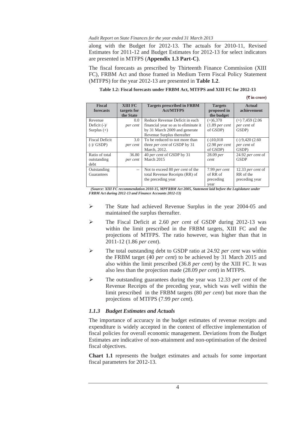along with the Budget for 2012-13. The actuals for 2010-11, Revised Estimates for 2011-12 and Budget Estimates for 2012-13 for select indicators are presented in MTFPS (**Appendix 1.3 Part-C)**.

The fiscal forecasts as prescribed by Thirteenth Finance Commission (XIII FC), FRBM Act and those framed in Medium Term Fiscal Policy Statement (MTFPS) for the year 2012-13 are presented in **Table 1.2**.

|  | Table 1.2: Fiscal forecasts under FRBM Act. MTFPS and XIII FC for 2012-13 |
|--|---------------------------------------------------------------------------|
|--|---------------------------------------------------------------------------|

(` **in crore)**

| <b>Fiscal</b><br>forecasts                 | XIII FC<br>targets for<br>the State | <b>Targets prescribed in FRBM</b><br><b>Act/MTFPS</b>                                                                                 | <b>Targets</b><br>proposed in<br>the budget           | Actual<br>achievement                            |
|--------------------------------------------|-------------------------------------|---------------------------------------------------------------------------------------------------------------------------------------|-------------------------------------------------------|--------------------------------------------------|
| Revenue<br>Deficit $(-)/$<br>Surplus $(+)$ | $0.0^{\circ}$<br>per cent           | Reduce Revenue Deficit in each<br>financial year so as to eliminate it<br>by 31 March 2009 and generate<br>Revenue Surplus thereafter | $(+)6,370$<br>$(1.89$ per cent<br>of GSDP)            | $(+)$ 7,459 (2.06)<br>per cent of<br>GSDP)       |
| <b>Fiscal Deficit</b><br>$(-)/$ GSDP)      | $3.0^{\circ}$<br>per cent           | To be reduced to not more than<br>three <i>per cent</i> of GSDP by 31<br>March, 2012.                                                 | $(-10,018)$<br>(2.98 <sub>per</sub> cent)<br>of GSDP) | $(-)$ 9,420 $(2.60)$<br>per cent of<br>GSDP)     |
| Ratio of total<br>outstanding<br>debt      | 36.80<br>per cent                   | 40 per cent of GSDP by 31<br>March 2015                                                                                               | $28.09$ per<br>cent                                   | 24.92 per cent of<br><b>GSDP</b>                 |
| Outstanding<br>Guarantees                  | $-$                                 | Not to exceed 80 per cent of the<br>total Revenue Receipts (RR) of<br>the preceding year                                              | 7.99 per cent<br>of RR of<br>preceding<br>year        | 12.33 per cent of<br>RR of the<br>preceding year |

 *(Source: XIII FC recommendation 2010-15, MPFRBM Act 2005, Statement laid before the Legislature under FRBM Act during 2012-13 and Finance Accounts 2012-13)* 

- ¾ The State had achieved Revenue Surplus in the year 2004-05 and maintained the surplus thereafter.
- ¾ The Fiscal Deficit at 2.60 *per cent* of GSDP during 2012-13 was within the limit prescribed in the FRBM targets, XIII FC and the projections of MTFPS. The ratio however, was higher than that in 2011-12 (1.86 *per cent*).
- ¾ The total outstanding debt to GSDP ratio at 24.92 *per cent* was within the FRBM target (40 *per cent*) to be achieved by 31 March 2015 and also within the limit prescribed (36.8 *per cent*) by the XIII FC. It was also less than the projection made (28.09 *per cent*) in MTFPS.
- ¾ The outstanding guarantees during the year was 12.33 *per cent* of the Revenue Receipts of the preceding year, which was well within the limit prescribed in the FRBM targets (80 *per cent*) but more than the projections of MTFPS (7.99 *per cent*).

## *1.1.3 Budget Estimates and Actuals*

The importance of accuracy in the budget estimates of revenue receipts and expenditure is widely accepted in the context of effective implementation of fiscal policies for overall economic management. Deviations from the Budget Estimates are indicative of non-attainment and non-optimisation of the desired fiscal objectives.

**Chart 1.1** represents the budget estimates and actuals for some important fiscal parameters for 2012-13.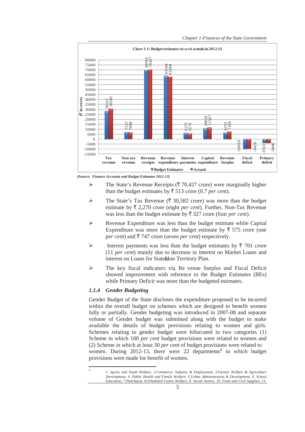

 *(Source: Finance Accounts and Budget Estimates 2012-13)* 

- $\triangleright$  The State's Revenue Receipts ( $\bar{\tau}$  70,427 crore) were marginally higher than the budget estimates by  $\bar{\tau}$  513 crore (0.7 *per cent*).
- $\triangleright$  The State's Tax Revenue ( $\bar{\triangledown}$  30,582 crore) was more than the budget estimate by  $\bar{\tau}$  2,270 crore (eight *per cent*). Further, Non-Tax Revenue was less than the budget estimate by  $\bar{\tau}$  327 crore (four *per cent*).
- $\triangleright$  Revenue Expenditure was less than the budget estimate while Capital Expenditure was more than the budget estimate by  $\bar{\tau}$  575 crore (one *per cent*) and  $\bar{\xi}$  747 crore (seven *per cent*) respectively.
- ightharpoonup Interest payments was less than the budget estimates by  $\bar{\tau}$  701 crore (11 *per cent*) mainly due to decrease in interest on Market Loans and interest on Loans for Statehion Territory Plan.
- $\triangleright$  The key fiscal indicators viz. Re venue Surplus and Fiscal Deficit showed improvement with reference to the Budget Estimates (BEs) while Primary Deficit was more than the budgeted estimates.

## *1.1.4 Gender Budgeting*

<u> Andrew Maria (1989)</u>

Gender Budget of the State discloses the expenditure proposed to be incurred within the overall budget on schemes which are designed to benefit women fully or partially. Gender budgeting was introduced in 2007-08 and separate volume of Gender budget was submitted along with the budget to make available the details of budget provisions relating to women and girls. Schemes relating to gender budget were bifurcated in two categories (1) Scheme in which 100 *per cent* budget provisions were related to women and (2) Scheme in which at least 30 *per cent* of budget provisions were related to women. During 2012-13, there were 22 departments<sup>5</sup> in which budget provisions were made for benefit of women.

*<sup>5</sup> 1. Sports and Youth Welfare, 2.Commerce, Industry & Employment, 3.Farmer Welfare & Agriculture Development, 4. Public Health and Family Welfare, 5.Urban Administration & Development, 6. School Education, 7.Panchayat, 8.Scheduled Castes Welfare, 9. Social Justice, 10. Food and Civil Supplies, 11.*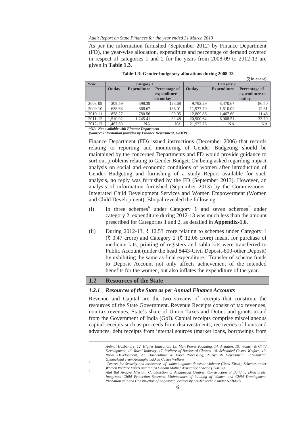*Audit Report on State Finances for the year ended 31 March 2013* 

As per the information furnished (September 2012) by Finance Department (FD), the year-wise allocation, expenditure and percentage of demand covered in respect of categories 1 and 2 for the years from 2008-09 to 2012-13 are given in **Table 1.3**.

| Year    | Category 1 |                    |                                           | Category 2 |                    |                                           |
|---------|------------|--------------------|-------------------------------------------|------------|--------------------|-------------------------------------------|
|         | Outlay     | <b>Expenditure</b> | Percentage of<br>expenditure<br>to outlay | Outlay     | <b>Expenditure</b> | Percentage of<br>expenditure to<br>outlay |
| 2008-09 | 309.59     | 398.39             | 128.68                                    | 9,792.29   | 8,470.67           | 86.50                                     |
| 2009-10 | 638.68     | 868.67             | 136.01                                    | 11,977.79  | 1.510.02           | 12.61                                     |
| 2010-11 | 858.27     | 780.56             | 90.95                                     | 12,809.86  | 1,467.60           | 11.46                                     |
| 2011-12 | 1.510.02   | 1.245.41           | 82.48                                     | 20,500.64  | 6.908.51           | 33.70                                     |
| 2012-13 | .467.60    | NA                 | <b>NA</b>                                 | 21,932.76  | <b>NA</b>          | <b>NA</b>                                 |

**Table 1.3: Gender budgetary allocations during 2008-13** 

(` **in crore)**

*\*NA- Not available with Finance Department (Source: Information provided by Finance Department, GoMP)* 

Finance Department (FD) issued instructions (December 2006) that records relating to reporting and monitoring of Gender Budgeting should be maintained by the concerned Departments and FD would provide guidance to sort out problems relating to Gender Budget. On being asked regarding impact analysis on social and economic conditions of women after introduction of Gender Budgeting and furnishing of a study Report available for such analysis, no reply was furnished by the FD (September 2013). However, an analysis of information furnished (September 2013) by the Commissioner, Integrated Child Development Services and Women Empowerment (Women and Child Development), Bhopal revealed the following:

- (i) In three schemes<sup>6</sup> under Category 1 and seven schemes<sup>7</sup> under category 2, expenditure during 2012-13 was much less than the amount prescribed for Categories 1 and 2, as detailed in **Appendix-1.6**.
- (ii) During 2012-13,  $\overline{\tau}$  12.53 crore relating to schemes under Category 1  $(\bar{\mathfrak{F}} 0.47 \text{ core})$  and Category 2 ( $\bar{\mathfrak{F}} 12.06 \text{ core}$ ) meant for purchase of medicine kits, printing of registers and sabla kits were transferred to Public Account (under the head 8443-Civil Deposit-800-other Deposit) by exhibiting the same as final expenditure. Transfer of scheme funds to Deposit Account not only affects achievement of the intended benefits for the women, but also inflates the expenditure of the year.

## **1.2 Resources of the State**

## *1.2.1 Resources of the State as per Annual Finance Accounts*

Revenue and Capital are the two streams of receipts that constitute the resources of the State Government. Revenue Receipts consist of tax revenues, non-tax revenues, State's share of Union Taxes and Duties and grants-in-aid from the Government of India (GoI). Capital receipts comprise miscellaneous capital receipts such as proceeds from disinvestments, recoveries of loans and advances, debt receipts from internal sources (market loans, borrowings from

<u> 1989 - Johann Stein, marwolaethau a bhann an t-Amhainn an t-Amhainn an t-Amhainn an t-Amhainn an t-Amhainn an</u>

*Animal Husbandry, 12. Higher Education, 13. Man Power Planning, 14. Aviation, 15. Women & Child Development, 16. Rural Industry, 17. Welfare of Backward Classes, 18. Scheduled Castes Welfare, 19. Rural Development, 20. Horticulture & Food Processing, 21.Ayoush Department, 22.Vimuktta, Ghumakkad evam Ardhaghumakkad Castes Welfare 6*

*Centres for Security and assistance of women against domestic violence (Usha Kiran), Schemes under Women Welfare Funds and Indira Gandhi Mother Assistance Scheme (IGMSY)* 

*Atal Bal Arogya Mission, Construction of Anganwadi Centres, Construction of Building Directorate, Integrated Child Protection Schemes, Maintenance of building of Women and Child Development, Probation unit and Construction of Anganwadi centres by pre-feb technic under NABARD*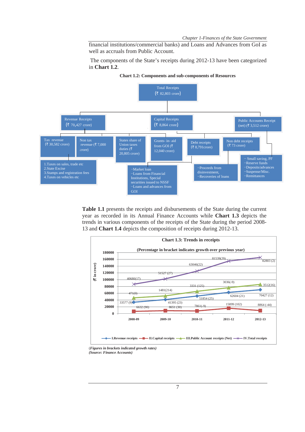*Chapter 1-Finances of the State Government* 

financial institutions/commercial banks) and Loans and Advances from GoI as well as accruals from Public Account.

 The components of the State's receipts during 2012-13 have been categorized in **Chart 1.2**.



**Chart 1.2: Components and sub-components of Resources** 

**Table 1.1** presents the receipts and disbursements of the State during the current year as recorded in its Annual Finance Accounts while **Chart 1.3** depicts the trends in various components of the receipts of the State during the period 2008- 13 and **Chart 1.4** depicts the composition of receipts during 2012-13.



<sup>(</sup>*Figures in brackets indicated growth rates)*

*<sup>(</sup>Source: Finance Accounts)*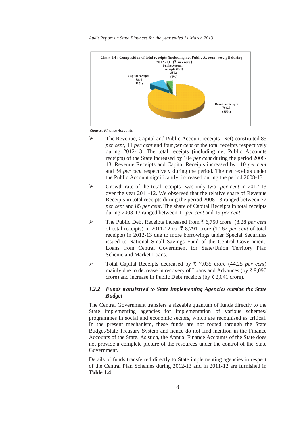

 *(Source: Finance Accounts)* 

- ¾ The Revenue, Capital and Public Account receipts (Net) constituted 85 *per cent*, 11 *per cent* and four *per cent* of the total receipts respectively during 2012-13. The total receipts (including net Public Accounts receipts) of the State increased by 104 *per cent* during the period 2008- 13. Revenue Receipts and Capital Receipts increased by 110 *per cent*  and 34 *per cent* respectively during the period. The net receipts under the Public Account significantly increased during the period 2008-13.
- ¾ Growth rate of the total receipts was only two *per cent* in 2012-13 over the year 2011-12. We observed that the relative share of Revenue Receipts in total receipts during the period 2008-13 ranged between 77 *per cent* and 85 *per cent*. The share of Capital Receipts in total receipts during 2008-13 ranged between 11 *per cent* and 19 *per cent*.
- ¾ The Public Debt Receipts increased from ` 6,750 crore (8.28 *per cent* of total receipts) in 2011-12 to  $\bar{\tau}$  8,791 crore (10.62 *per cent* of total receipts) in 2012-13 due to more borrowings under Special Securities issued to National Small Savings Fund of the Central Government, Loans from Central Government for State/Union Territory Plan Scheme and Market Loans.
- ¾ Total Capital Receipts decreased by ` 7,035 crore (44.25 *per cent*) mainly due to decrease in recovery of Loans and Advances (by  $\bar{\tau}$  9,090) crore) and increase in Public Debt receipts (by  $\bar{\tau}$  2,041 crore).

# *1.2.2 Funds transferred to State Implementing Agencies outside the State Budget*

The Central Government transfers a sizeable quantum of funds directly to the State implementing agencies for implementation of various schemes/ programmes in social and economic sectors, which are recognised as critical. In the present mechanism, these funds are not routed through the State Budget/State Treasury System and hence do not find mention in the Finance Accounts of the State. As such, the Annual Finance Accounts of the State does not provide a complete picture of the resources under the control of the State Government.

Details of funds transferred directly to State implementing agencies in respect of the Central Plan Schemes during 2012-13 and in 2011-12 are furnished in **Table 1.4**.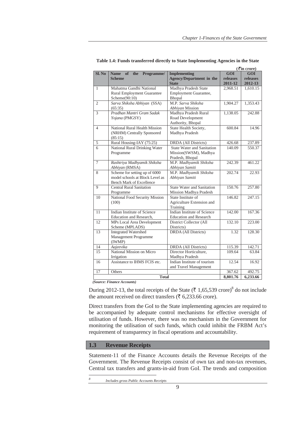|                |                                                   | $($ ₹in crore)                    |          |            |
|----------------|---------------------------------------------------|-----------------------------------|----------|------------|
| Sl. No         | <b>Name</b><br><sub>of</sub><br>Programme/<br>the | <b>Implementing</b>               | GOI      | <b>GOI</b> |
|                | <b>Scheme</b>                                     | <b>Agency/Department in the</b>   | releases | releases   |
|                |                                                   | <b>State</b>                      | 2011-12  | 2012-13    |
| 1              | Mahatma Gandhi National                           | Madhya Pradesh State              | 2,968.51 | 1,610.15   |
|                | <b>Rural Employment Guarantee</b>                 | Employment Guarantee,             |          |            |
|                | Scheme(90:10)                                     | Bhopal                            |          |            |
| $\overline{2}$ | Sarva Shiksha Abhiyan (SSA)                       | M.P. Sarva Shiksha                | 1,904.27 | 1,353.43   |
|                | (65:35)                                           | Abhiyan Mission                   |          |            |
| 3              | Pradhan Mantri Gram Sadak                         | Madhya Pradesh Rural              | 1,138.05 | 242.88     |
|                | Yojana (PMGSY)                                    | Road Development                  |          |            |
|                |                                                   | Authority, Bhopal                 |          |            |
| $\overline{4}$ | National Rural Health Mission                     | State Health Society,             | 600.84   | 14.96      |
|                | (NRHM) Centrally Sponsored                        | Madhya Pradesh                    |          |            |
|                | (85:15)                                           |                                   |          |            |
| 5              | Rural Housing-IAY (75:25)                         | <b>DRDA</b> (All Districts)       | 426.68   | 237.89     |
| $\overline{6}$ | National Rural Drinking Water                     | <b>State Water and Sanitation</b> | 140.09   | 550.37     |
|                | Programme                                         | Mission(SWSM), Madhya             |          |            |
|                |                                                   | Pradesh, Bhopal                   |          |            |
| $\tau$         | Rashtriya Madhyamik Shiksha                       | M.P. Madhyamik Shiksha            | 242.39   | 461.22     |
|                | Abhiyan (RMSA)                                    | Abhiyan Samiti                    |          |            |
| 8              | Scheme for setting up of 6000                     | M.P. Madhyamik Shiksha            | 202.74   | 22.93      |
|                | model schools at Block Level as                   | Abhiyan Samiti                    |          |            |
|                | <b>Bench Mark of Excellence</b>                   |                                   |          |            |
| 9              | <b>Central Rural Sanitation</b>                   | <b>State Water and Sanitation</b> | 150.76   | 257.80     |
|                | Programme                                         | Mission Madhya Pradesh            |          |            |
| 10             | National Food Security Mission                    | State Institute of                | 146.82   | 247.15     |
|                | (100)                                             | Agriculture Extension and         |          |            |
|                |                                                   | Training                          |          |            |
| 11             | Indian Institute of Science                       | Indian Institute of Science       | 142.00   | 167.36     |
|                | Education and Research,                           | <b>Education and Research</b>     |          |            |
| 12             | MPs Local Area Development                        | District Collector (All           | 132.10   | 223.00     |
|                | Scheme (MPLADS)                                   | Districts)                        |          |            |
| 13             | <b>Integrated Watershed</b>                       | DRDA (All Districts)              | 1.32     | 128.30     |
|                | Management Programme                              |                                   |          |            |
|                | (IWMP)                                            |                                   |          |            |
| 14             | Aajeevika                                         | DRDA (All Districts)              | 115.39   | 142.71     |
| 15             | National Mission on Micro                         | Director Horticulture,            | 109.64   | 63.84      |
|                | Irrigation                                        | Madhya Pradesh                    |          |            |
| 16             | Assistance to IHMS FCIS etc.                      | Indian Institute of tourism       | 12.54    | 16.92      |
|                |                                                   | and Travel Management             |          |            |
| 17             | Others                                            |                                   | 367.62   | 492.75     |
|                | <b>Total</b>                                      |                                   | 8,801.76 | 6,233.66   |

**Table 1.4: Funds transferred directly to State Implementing Agencies in the State** 

 *(Source: Finance Accounts)*

During 2012-13, the total receipts of the State ( $\bar{\tau}$  1,65,539 crore)<sup>8</sup> do not include the amount received on direct transfers ( $\bar{\epsilon}$  6,233.66 crore).

Direct transfers from the GoI to the State implementing agencies are required to be accompanied by adequate control mechanisms for effective oversight of utilisation of funds. However, there was no mechanism in the Government for monitoring the utilisation of such funds, which could inhibit the FRBM Act's requirement of transparency in fiscal operations and accountability.

## **1.3 Revenue Receipts**

Statement-11 of the Finance Accounts details the Revenue Receipts of the Government. The Revenue Receipts consist of own tax and non-tax revenues, Central tax transfers and grants-in-aid from GoI. The trends and composition

<u> Andreas Andreas Andreas Andreas Andreas Andreas Andreas Andreas Andreas Andreas Andreas Andreas Andreas Andreas</u>

*<sup>8</sup> Includes gross Public Accounts Receipts*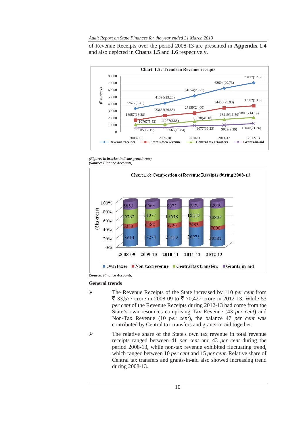*Audit Report on State Finances for the year ended 31 March 2013* 

of Revenue Receipts over the period 2008-13 are presented in **Appendix 1.4** and also depicted in **Charts 1.5** and **1.6** respectively.



*<sup>(</sup>Figures in bracket indicate growth rate) (Source: Finance Accounts)* 



*(Source: Finance Accounts)*

#### **General trends**

- ¾ The Revenue Receipts of the State increased by 110 *per cent* from ₹ 33,577 crore in 2008-09 to ₹ 70,427 crore in 2012-13. While 53 *per cent* of the Revenue Receipts during 2012-13 had come from the State's own resources comprising Tax Revenue (43 *per cent*) and Non-Tax Revenue (10 *per cent*), the balance 47 *per cent* was contributed by Central tax transfers and grants-in-aid together.
- ¾ The relative share of the State's own tax revenue in total revenue receipts ranged between 41 *per cent* and 43 *per cent* during the period 2008-13, while non-tax revenue exhibited fluctuating trend, which ranged between 10 *per cent* and 15 *per cent.* Relative share of Central tax transfers and grants-in-aid also showed increasing trend during 2008-13.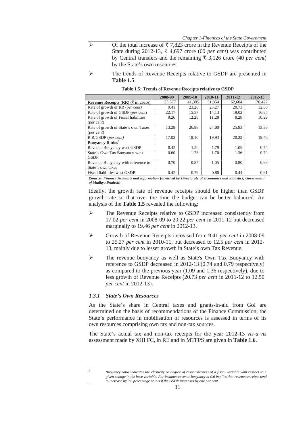- $\triangleright$  Of the total increase of  $\overline{z}$  7,823 crore in the Revenue Receipts of the State during 2012-13,  $\overline{\xi}$  4,697 crore (60 *per cent*) was contributed by Central transfers and the remaining  $\bar{\xi}$  3,126 crore (40 *per cent*) by the State's own resources.
- ¾ The trends of Revenue Receipts relative to GSDP are presented in **Table 1.5**.

|                                                     | 2008-09 | 2009-10 | 2010-11 | 2011-12 | 2012-13 |
|-----------------------------------------------------|---------|---------|---------|---------|---------|
| Revenue Receipts (RR) $(\overline{\zeta}$ in crore) | 33,577  | 41.395  | 51.854  | 62,604  | 70.427  |
| Rate of growth of RR (per cent)                     | 9.41    | 23.28   | 25.27   | 20.73   | 12.50   |
| Rate of growth of GSDP (per cent)                   | 22.17   | 15.57   | 14.13   | 19.02   | 16.85   |
| Rate of growth of Fiscal liabilities                | 9.26    | 12.28   | 11.28   | 8.28    | 10.29   |
| $(\text{per cent})$                                 |         |         |         |         |         |
| Rate of growth of State's own Taxes                 | 13.28   | 26.88   | 24.00   | 25.93   | 13.38   |
| $(\text{per cent})$                                 |         |         |         |         |         |
| R R/GSDP (per cent)                                 | 17.02   | 18.16   | 19.93   | 20.22   | 19.46   |
| <b>Buoyancy Ratios</b> <sup>9</sup>                 |         |         |         |         |         |
| Revenue Buoyancy w.r.t GSDP                         | 0.42    | 1.50    | 1.79    | 1.09    | 0.74    |
| State's Own Tax Buoyancy w.r.t                      | 0.60    | 1.73    | 1.70    | 1.36    | 0.79    |
| <b>GSDP</b>                                         |         |         |         |         |         |
| Revenue Buoyancy with reference to                  | 0.70    | 0.87    | 1.05    | 0.80    | 0.93    |
| State's own taxes                                   |         |         |         |         |         |
| Fiscal liabilities w.r.t GSDP                       | 0.42    | 0.79    | 0.80    | 0.44    | 0.61    |

**Table 1.5: Trends of Revenue Receipts relative to GSDP** 

*(Source: Finance Accounts and information furnished by Directorate of Economics and Statistics, Government of Madhya Pradesh)* 

Ideally, the growth rate of revenue receipts should be higher than GSDP growth rate so that over the time the budget can be better balanced. An analysis of the **Table 1.5** revealed the following:

- The Revenue Receipts relative to GSDP increased consistently from 17.02 *per cent* in 2008-09 to 20.22 *per cent* in 2011-12 but decreased marginally to 19.46 *per cent* in 2012-13.
- ¾ Growth of Revenue Receipts increased from 9.41 *per cent* in 2008-09 to 25.27 *per cent* in 2010-11, but decreased to 12.5 *per cent* in 2012- 13, mainly due to lesser growth in State's own Tax Revenue.
- ¾ The revenue buoyancy as well as State's Own Tax Buoyancy with reference to GSDP decreased in 2012-13 (0.74 and 0.79 respectively) as compared to the previous year (1.09 and 1.36 respectively), due to less growth of Revenue Receipts (20.73 *per cent* in 2011-12 to 12.50 *per cent* in 2012-13).

#### *1.3.1 State's Own Resources*

As the State's share in Central taxes and grants-in-aid from GoI are determined on the basis of recommendations of the Finance Commission, the State's performance in mobilisation of resources is assessed in terms of its own resources comprising own tax and non-tax sources.

The State's actual tax and non-tax receipts for the year 2012-13 *vis-a-vis* assessment made by XIII FC, in RE and in MTFPS are given in **Table 1.6**.

<sup>&</sup>lt;u> Andreas Andreas Andreas Andreas Andreas Andreas Andreas Andreas Andreas Andreas Andreas Andreas Andreas Andreas</u> *9*

*Buoyancy ratio indicates the elasticity or degree of responsiveness of a fiscal variable with respect to a given change in the base variable. For instance revenue buoyancy at 0.6 implies that revenue receipts tend to increase by 0.6 percentage points if the GSDP increases by one per cent.*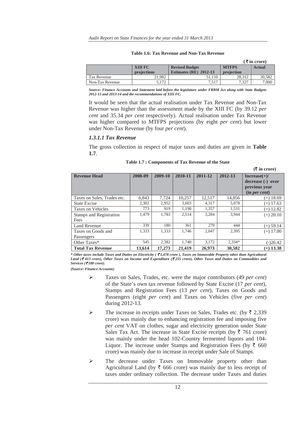|                 |             |                          |              | (₹in crore)   |
|-----------------|-------------|--------------------------|--------------|---------------|
|                 | XIII FC     | <b>Revised Budget</b>    | <b>MTFPS</b> | <b>Actual</b> |
|                 | projections | Estimates $(RE)$ 2012-13 | projection   |               |
| Tax Revenue     | 21.982      | 51.110                   | 28.312       | 30.582        |
| Non-Tax Revenue | 5.172       | 7.517                    | 7.327        | 7,000         |

#### **Table 1.6: Tax Revenue and Non-Tax Revenue**

*Source: Finance Accounts and Statement laid before the legislature under FRBM Act along with State Budgets 2012-13 and 2013-14 and the recommendations of XIII FC.* 

It would be seen that the actual realisation under Tax Revenue and Non-Tax Revenue was higher than the assessment made by the XIII FC (by 39.12 *per cent* and 35.34 *per cent* respectively). Actual realisation under Tax Revenue was higher compared to MTFPS projections (by eight *per cent*) but lower under Non-Tax Revenue (by four *per cent*).

#### *1.3.1.1 Tax Revenue*

The gross collection in respect of major taxes and duties are given in **Table 1.7**.

 **(**` **in crore)** 

| <b>Revenue Head</b>              | 2008-09 | 2009-10 | 2010-11 | 2011-12 | 2012-13  | $Increase(+)/$<br>decrease (-) over<br>previous year<br>(in per cent) |
|----------------------------------|---------|---------|---------|---------|----------|-----------------------------------------------------------------------|
| Taxes on Sales, Trades etc.      | 6.843   | 7.724   | 10.257  | 12,517  | 14.856   | (+) 18.69                                                             |
| <b>State Excise</b>              | 2,302   | 2,952   | 3,603   | 4,317   | 5,078    | $(+)$ 17.63                                                           |
| Taxes on Vehicles                | 773     | 919     | 1,198   | 1,357   | 1,531    | $(+)$ 12.82                                                           |
| Stamps and Registration<br>Fees  | 1.479   | 1.783   | 2.514   | 3.284   | 3.944    | $(+) 20.10$                                                           |
| <b>Land Revenue</b>              | 339     | 180     | 361     | 279     | 444      | $(+) 59.14$                                                           |
| Taxes on Goods and<br>Passengers | 1,333   | 1.333   | 1.746   | 2.047   | 2.395    | $(+)$ 17.00                                                           |
| Other Taxes*                     | 545     | 2,382   | 1,740   | 3,172   | $2,334*$ | $(-)26.42$                                                            |
| <b>Total Tax Revenue</b>         | 13,614  | 17,273  | 21.419  | 26,973  | 30,582   | $(+)$ 13.38                                                           |

*\* Other taxes include Taxes and Duties on Electricity (* ` *1,478 crore ), Taxes on Immovable Property other than Agricultural Land (*` *413 crore), Other Taxes on Income and Expenditure (*` *255 crore), Other Taxes and Duties on Commodities and Services (*` *188 crore).* 

*(Source: Finance Accounts)* 

- ¾ Taxes on Sales, Trades, etc. were the major contributors (49 *per cent*) of the State's own tax revenue followed by State Excise (17 *per cent*), Stamps and Registration Fees (13 *per cent*), Taxes on Goods and Passengers (eight *per cent*) and Taxes on Vehicles (five *per cent*) during 2012-13.
- $\triangleright$  The increase in receipts under Taxes on Sales, Trades etc. (by  $\bar{\tau}$  2,339) crore) was mainly due to enhancing registration fee and imposing five *per cent* VAT on clothes, sugar and electricity generation under State Sales Tax Act. The increase in State Excise receipts (by  $\bar{\tau}$  761 crore) was mainly under the head 102-Country fermented liquors and 104- Liquor. The increase under Stamps and Registration Fees (by  $\bar{\tau}$  660 crore) was mainly due to increase in receipt under Sale of Stamps.
- $\triangleright$  The decrease under Taxes on Immovable property other than Agricultural Land (by  $\bar{\tau}$  666 crore) was mainly due to less receipt of taxes under ordinary collection. The decrease under Taxes and duties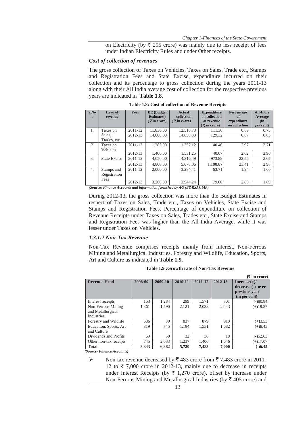on Electricity (by  $\overline{\xi}$  295 crore) was mainly due to less receipt of fees under Indian Electricity Rules and under Other receipts.

#### *Cost of collection of revenues*

The gross collection of Taxes on Vehicles, Taxes on Sales, Trade etc., Stamps and Registration Fees and State Excise, expenditure incurred on their collection and its percentage to gross collection during the years 2011-13 along with their All India average cost of collection for the respective previous years are indicated in **Table 1.8**.

| S.No             | <b>Head of</b><br>revenue          | Year        | <b>BE</b> (Budget<br><b>Estimates</b> )<br>$\sqrt{5}$ in crore) | <b>Actual</b><br>collection<br>$\sqrt{5}$ in crore)                                                                                           | <b>Expenditure</b><br>on collection<br>of revenue<br>$\overline{\mathbf{\mathsf{F}}}$ in crore) | Percentage<br>of<br>expenditure<br>on collection | <b>All-India</b><br>Average<br>(in)<br><i>per cent</i> ) |
|------------------|------------------------------------|-------------|-----------------------------------------------------------------|-----------------------------------------------------------------------------------------------------------------------------------------------|-------------------------------------------------------------------------------------------------|--------------------------------------------------|----------------------------------------------------------|
| 1.               | Taxes on                           | 2011-12     | 11,830.00                                                       | 12,516.73                                                                                                                                     | 111.36                                                                                          | 0.89                                             | 0.75                                                     |
|                  | Sales.<br>Trades, etc.             | 2012-13     | 14,000.00                                                       | 14,856.30                                                                                                                                     | 129.32                                                                                          | 0.87                                             | 0.83                                                     |
| $\mathfrak{D}$   | Taxes on<br>Vehicles               | $2011 - 12$ | 1.285.00                                                        | 1.357.12                                                                                                                                      | 40.40                                                                                           | 2.97                                             | 3.71                                                     |
|                  |                                    | 2012-13     | 1,400.00                                                        | 1.531.25                                                                                                                                      | 40.07                                                                                           | 2.62                                             | 2.96                                                     |
| 3.               | <b>State Excise</b>                | 2011-12     | 4,050.00                                                        | 4.316.49                                                                                                                                      | 973.88                                                                                          | 22.56                                            | 3.05                                                     |
|                  |                                    | 2012-13     | 4,800.00                                                        | 5,078.06                                                                                                                                      | 1,188.87                                                                                        | 23.41                                            | 2.98                                                     |
| $\overline{4}$ . | Stamps and<br>Registration<br>Fees | $2011 - 12$ | 2,000.00                                                        | 3.284.41                                                                                                                                      | 63.71                                                                                           | 1.94                                             | 1.60                                                     |
|                  |                                    | $2012 - 13$ | 3,200,00                                                        | 3.944.24<br>$(C_{\alpha\mu\nu\rho\sigma\sigma}, E_{\mu\nu\rho\sigma\sigma\sigma\sigma}$ A converte and information funnished by $AC/EPBCA$ MD | 79.00                                                                                           | 2.00                                             | 1.89                                                     |

**Table 1.8: Cost of collection of Revenue Receipts** 

rce: Finance Accounts and information furnished by AG (E&RSA), MP)

During 2012-13, the gross collection was more than the Budget Estimates in respect of Taxes on Sales, Trade etc., Taxes on Vehicles, State Excise and Stamps and Registration Fees. Percentage of expenditure on collection of Revenue Receipts under Taxes on Sales, Trades etc., State Excise and Stamps and Registration Fees was higher than the All-India Average, while it was lesser under Taxes on Vehicles.

#### *1.3.1.2 Non-Tax Revenue*

Non-Tax Revenue comprises receipts mainly from Interest, Non-Ferrous Mining and Metallurgical Industries, Forestry and Wildlife, Education, Sports, Art and Culture as indicated in **Table 1.9**.

|                                                       |         |         |         |         |         | $(5 \infty)$                                                          |
|-------------------------------------------------------|---------|---------|---------|---------|---------|-----------------------------------------------------------------------|
| <b>Revenue Head</b>                                   | 2008-09 | 2009-10 | 2010-11 | 2011-12 | 2012-13 | $Increase(+)/$<br>decrease (-) over<br>previous year<br>(in per cent) |
| Interest receipts                                     | 163     | 1,284   | 299     | 1,571   | 301     | $(-)80.84$                                                            |
| Non-Ferrous Mining<br>and Metallurgical<br>Industries | 1,361   | 1,590   | 2,121   | 2,038   | 2,443   | $(+)19.87$                                                            |
| Forestry and Wildlife                                 | 686     | 80      | 837     | 879     | 910     | $(+)3.53$                                                             |
| Education, Sports, Art<br>and Culture                 | 319     | 745     | 1.194   | 1,551   | 1,682   | $(+)8.45$                                                             |
| Dividends and Profits                                 | 69      | 50      | 32      | 38      | 18      | $(-)52.63$                                                            |
| Other non-tax receipts                                | 745     | 2,633   | 1,237   | 1,406   | 1.646   | $(+)17.07$                                                            |
| <b>Total</b>                                          | 3,343   | 6,382   | 5,720   | 7,483   | 7,000   | $(-)6.45$                                                             |

**Table 1.9 :Growth rate of Non-Tax Revenue** 

*(Source- Finance Accounts)*

 $\triangleright$  Non-tax revenue decreased by  $\bar{\tau}$  483 crore from  $\bar{\tau}$  7,483 crore in 2011-12 to  $\bar{\tau}$  7,000 crore in 2012-13, mainly due to decrease in receipts under Interest Receipts (by  $\bar{\tau}$  1,270 crore), offset by increase under Non-Ferrous Mining and Metallurgical Industries (by  $\bar{\tau}$  405 crore) and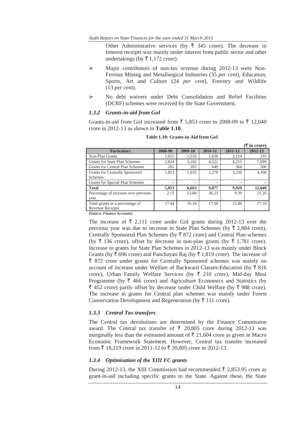Other Administrative services (by  $\overline{\xi}$  345 crore). The decrease in Interest receipts was mainly under interest from public sector and other undertakings (by  $\bar{\tau}$  1,172 crore).

- ¾ Major contributors of non-tax revenue during 2012-13 were Non-Ferrous Mining and Metallurgical Industries (35 *per cent*), Education, Sports, Art and Culture (24 *per cent*), Forestry and Wildlife (13 *per cent*).
- ¾ No debt waivers under Debt Consolidation and Relief Facilities (DCRF) schemes were received by the State Government.

#### *1.3.2 Grants-in-aid from GoI*

Grants-in-aid from GoI increased from  $\bar{\xi}$  5,853 crore in 2008-09 to  $\bar{\xi}$  12,040 crore in 2012-13 as shown in **Table 1.10**.

|                                        |         |         |         |         | $(\bar{\bar{\mathbf{x}}}$ in crore) |
|----------------------------------------|---------|---------|---------|---------|-------------------------------------|
| <b>Particulars</b>                     | 2008-09 | 2009-10 | 2010-11 | 2011-12 | 2012-13                             |
| Non-Plan Grants                        | 1.015   | 1.533   | 1,636   | 2,114   | 333                                 |
| Grants for State Plan Schemes          | 2,824   | 3.102   | 4,522   | 4,215   | 7,099                               |
| <b>Grants for Central Plan Schemes</b> | 201     | 393     | 649     | 364     | 500                                 |
| Grants for Centrally Sponsored         | 1,813   | 1,635   | 2,270   | 3,236   | 4,108                               |
| Schemes                                |         |         |         |         |                                     |
| Grants for Special Plan Schemes        | --      | --      | --      | --      |                                     |
| <b>Total</b>                           | 5,853   | 6,663   | 9,077   | 9,929   | 12,040                              |
| Percentage of increase over previous   | 2.15    | 13.84   | 36.23   | 9.39    | 21.26                               |
| year                                   |         |         |         |         |                                     |
| Total grants as a percentage of        | 17.44   | 16.10   | 17.50   | 15.86   | 17.10                               |
| Revenue Receipts                       |         |         |         |         |                                     |

**Table 1.10: Grants-in-Aid from GoI** 

*(Source: Finance Accounts)* 

The increase of  $\bar{\tau}$  2,111 crore under GoI grants during 2012-13 over the previous year was due to increase in State Plan Schemes (by  $\overline{\tau}$  2,884 crore), Centrally Sponsored Plan Schemes (by  $\bar{\tau}$  872 crore) and Central Plan schemes (by  $\bar{\tau}$  136 crore), offset by decrease in non-plan grants (by  $\bar{\tau}$  1,781 crore). Increase in grants for State Plan Schemes in 2012-13 was mainly under Block Grants (by  $\bar{\tau}$  696 crore) and Panchayati Raj (by  $\bar{\tau}$  1,819 crore). The increase of  $\bar{\xi}$  872 crore under grants for Centrally Sponsored schemes was mainly on account of increase under Welfare of Backward Classes-Education (by  $\bar{\tau}$  816) crore), Urban Family Welfare Services (by  $\bar{\tau}$  210 crore), Mid-day Meal Programme (by  $\bar{\tau}$  466 crore) and Agriculture Economics and Statistics (by  $\bar{\xi}$  452 crore) partly offset by decrease under Child Welfare (by  $\bar{\xi}$  988 crore). The increase in grants for Central plan schemes was mainly under Forest Conservation Development and Regeneration (by  $\bar{\tau}$  131 crore).

#### *1.3.3 Central Tax transfers*

The Central tax devolutions are determined by the Finance Commission award. The Central tax transfer of  $\bar{\tau}$  20,805 crore during 2012-13 was marginally less than the estimated amount of  $\bar{\tau}$  21,604 crore as given in Macro Economic Framework Statement. However, Central tax transfer increased from  $\bar{x}$  18,219 crore in 2011-12 to  $\bar{x}$  20,805 crore in 2012-13.

#### *1.3.4 Optimisation of the XIII FC grants*

During 2012-13, the XIII Commission had recommended  $\bar{\tau}$  2,853.95 crore as grant-in-aid including specific grants to the State. Against these, the State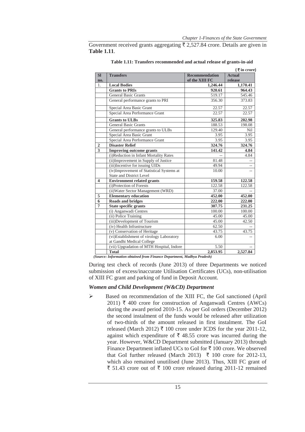Government received grants aggregating  $\bar{\tau}$  2,527.84 crore. Details are given in **Table 1.11**.

|                         |                                                                              |                       | $\sqrt{3}$ in crore) |
|-------------------------|------------------------------------------------------------------------------|-----------------------|----------------------|
| <b>SI</b>               | <b>Transfers</b>                                                             | <b>Recommendation</b> | <b>Actual</b>        |
| no.                     |                                                                              | of the XIII FC        | release              |
| 1.                      | <b>Local Bodies</b>                                                          | 1,246.44              | 1,170.41             |
|                         | <b>Grants to PRIs</b>                                                        | 920.61                | 964.43               |
|                         | <b>General Basic Grants</b>                                                  | 519.17                | 545.46               |
|                         | General performance grants to PRI                                            | 356.30                | 373.83               |
|                         | Special Area Basic Grant                                                     | 22.57                 | 22.57                |
|                         | Special Area Performance Grant                                               | 22.57                 | 22.57                |
|                         | <b>Grants to ULBs</b>                                                        | 325.83                | 202.98               |
|                         | <b>General Basic Grants</b>                                                  | 188.53                | 198.08               |
|                         | General performance grants to ULBs                                           | 129.40                | <b>Nil</b>           |
|                         | Special Area Basic Grant                                                     | 3.95                  | 3.95                 |
|                         | Special Area Performance Grant                                               | 3.95                  | 3.95                 |
| $\overline{2}$          | <b>Disaster Relief</b>                                                       | 324.76                | 324.76               |
| 3                       | <b>Improving outcome grants</b>                                              | 141.42                | 4.84                 |
|                         | (i)Reduction in Infant Mortality Rates                                       |                       | 4.84                 |
|                         | (ii) Improvement in Supply of Justice                                        | 81.48                 |                      |
|                         | (iii) Incentive for issuing UIDs                                             | 49.94                 |                      |
|                         | (iv)Improvement of Statistical Systems at<br><b>State and District Level</b> | 10.00                 |                      |
| $\overline{\mathbf{4}}$ | <b>Environment related grants</b>                                            | 159.58                | 122.58               |
|                         | (i)Protection of Forests                                                     | 122.58                | 122.58               |
|                         | (ii) Water Sector Management (WRD)                                           | 37.00                 |                      |
| 5                       | <b>Elementary education</b>                                                  | 452.00                | 452.00               |
| 6                       | <b>Roads and bridges</b>                                                     | 222.00                | 222.00               |
| 7                       | State specific grants                                                        | 307.75                | 231.25               |
|                         | (i) Anganwadi Centres                                                        | 100.00                | 100.00               |
|                         | (ii) Police Training                                                         | 45.00                 | 45.00                |
|                         | (iii)Development of Tourism                                                  | 45.00                 | 42.50                |
|                         | (iv) Health Infrastructure                                                   | 62.50                 |                      |
|                         | (v) Conservation of Heritage                                                 | 43.75                 | 43.75                |
|                         | (vi)Establishment of virology Laboratory<br>at Gandhi Medical College        | 6.00                  |                      |
|                         | (vii) Upgradation of MTH Hospital, Indore                                    | 5.50                  |                      |
|                         | <b>Total</b>                                                                 | 2,853.95              | 2,527.84             |

**Table 1.11: Transfers recommended and actual release of grants-in-aid** 

 *(Source: Information obtained from Finance Department, Madhya Pradesh)* 

During test check of records (June 2013) of three Departments we noticed submission of excess/inaccurate Utilisation Certificates (UCs), non-utilisation of XIII FC grant and parking of fund in Deposit Account.

## *Women and Child Development (W&CD) Department*

¾ Based on recommendation of the XIII FC, the GoI sanctioned (April 2011)  $\bar{\tau}$  400 crore for construction of Anganwadi Centres (AWCs) during the award period 2010-15. As per GoI orders (December 2012) the second instalment of the funds would be released after utilization of two-thirds of the amount released in first instalment. The GoI released (March 2012)  $\bar{\tau}$  100 crore under ICDS for the year 2011-12, against which expenditure of  $\bar{\tau}$  48.55 crore was incurred during the year. However, W&CD Department submitted (January 2013) through Finance Department inflated UCs to GoI for  $\bar{\tau}$  100 crore. We observed that GoI further released (March 2013)  $\bar{\tau}$  100 crore for 2012-13, which also remained unutilised (June 2013). Thus, XIII FC grant of ₹ 51.43 crore out of ₹ 100 crore released during 2011-12 remained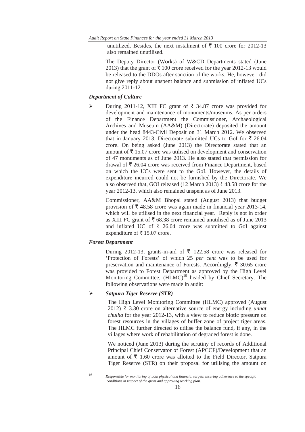unutilized. Besides, the next instalment of  $\bar{\tau}$  100 crore for 2012-13 also remained unutilised.

The Deputy Director (Works) of W&CD Departments stated (June 2013) that the grant of  $\bar{\tau}$  100 crore received for the year 2012-13 would be released to the DDOs after sanction of the works. He, however, did not give reply about unspent balance and submission of inflated UCs during 2011-12.

#### *Department of Culture*

 $\triangleright$  During 2011-12, XIII FC grant of  $\overline{\xi}$  34.87 crore was provided for development and maintenance of monuments/museums. As per orders of the Finance Department the Commissioner, Archaeological Archives and Museum (AA&M) (Directorate) deposited the amount under the head 8443-Civil Deposit on 31 March 2012. We observed that in January 2013, Directorate submitted UCs to GoI for  $\bar{\tau}$  26.04 crore. On being asked (June 2013) the Directorate stated that an amount of  $\bar{\tau}$  15.07 crore was utilised on development and conservation of 47 monuments as of June 2013. He also stated that permission for drawal of  $\bar{\tau}$  26.04 crore was received from Finance Department, based on which the UCs were sent to the GoI. However, the details of expenditure incurred could not be furnished by the Directorate. We also observed that, GOI released (12 March 2013)  $\bar{\tau}$  48.58 crore for the year 2012-13, which also remained unspent as of June 2013.

Commissioner, AA&M Bhopal stated (August 2013) that budget provision of  $\bar{\tau}$  48.58 crore was again made in financial year 2013-14, which will be utilised in the next financial year. Reply is not in order as XIII FC grant of  $\bar{\tau}$  68.38 crore remained unutilised as of June 2013 and inflated UC of  $\bar{\tau}$  26.04 crore was submitted to GoI against expenditure of  $\bar{\tau}$  15.07 crore.

#### *Forest Department*

During 2012-13, grants-in-aid of  $\bar{\tau}$  122.58 crore was released for 'Protection of Forests' of which 25 *per cent* was to be used for preservation and maintenance of Forests. Accordingly,  $\bar{\tau}$  30.65 crore was provided to Forest Department as approved by the High Level Monitoring Committee,  $(HLMC)^{10}$  headed by Chief Secretary. The following observations were made in audit:

#### ¾ *Satpura Tiger Reserve (STR)*

<u> Alexandria de la contrada de la contrada de la contrada de la contrada de la contrada de la contrada de la c</u>

The High Level Monitoring Committee (HLMC) approved (August 2012)  $\bar{\tau}$  3.30 crore on alternative source of energy including *unnat chulha* for the year 2012-13, with a view to reduce biotic pressure on forest resources in the villages of buffer zone of project tiger areas. The HLMC further directed to utilise the balance fund, if any, in the villages where work of rehabilitation of degraded forest is done.

We noticed (June 2013) during the scrutiny of records of Additional Principal Chief Conservator of Forest (APCCF)/Development that an amount of  $\bar{\tau}$  1.60 crore was allotted to the Field Director, Satpura Tiger Reserve (STR) on their proposal for utilising the amount on

*<sup>10</sup> Responsible for monitoring of both physical and financial targets ensuring adherence to the specific conditions in respect of the grant and approving working plan.*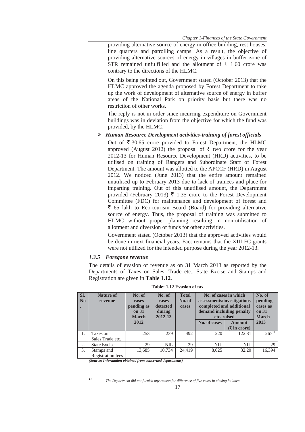providing alternative source of energy in office building, rest houses, line quarters and patrolling camps. As a result, the objective of providing alternative sources of energy in villages in buffer zone of STR remained unfulfilled and the allotment of  $\bar{\tau}$  1.60 crore was contrary to the directions of the HLMC.

On this being pointed out, Government stated (October 2013) that the HLMC approved the agenda proposed by Forest Department to take up the work of development of alternative source of energy in buffer areas of the National Park on priority basis but there was no restriction of other works.

The reply is not in order since incurring expenditure on Government buildings was in deviation from the objective for which the fund was provided, by the HLMC.

## ¾ *Human Resource Development activities-training of forest officials*

Out of  $\bar{\tau}$  30.65 crore provided to Forest Department, the HLMC approved (August 2012) the proposal of  $\bar{\tau}$  two crore for the year 2012-13 for Human Resource Development (HRD) activities, to be utilised on training of Rangers and Subordinate Staff of Forest Department. The amount was allotted to the APCCF (HRD) in August 2012. We noticed (June 2013) that the entire amount remained unutilised up to February 2013 due to lack of trainees and place for imparting training. Out of this unutilised amount, the Department provided (February 2013)  $\bar{\tau}$  1.35 crore to the Forest Development Committee (FDC) for maintenance and development of forest and  $\bar{\tau}$  65 lakh to Eco-tourism Board (Board) for providing alternative source of energy. Thus, the proposal of training was submitted to HLMC without proper planning resulting in non-utilisation of allotment and diversion of funds for other activities.

Government stated (October 2013) that the approved activities would be done in next financial years. Fact remains that the XIII FC grants were not utilized for the intended purpose during the year 2012-13.

## *1.3.5 Foregone revenue*

The details of evasion of revenue as on 31 March 2013 as reported by the Departments of Taxes on Sales, Trade etc., State Excise and Stamps and Registration are given in **Table 1.12**.

| Sl.<br>$\mathbf{N}\mathbf{0}$ | <b>Nature of</b><br>revenue        | No. of<br>cases<br>pending as<br>on 31<br><b>March</b><br>2012 | No. of<br>cases<br>detected<br>during<br>2012-13 | <b>Total</b><br>No. of<br>cases | No. of cases in which<br>assessments/investigations<br>completed and additional<br>demand including penalty<br>etc. raised<br>No. of cases<br><b>Amount</b> |                                              | No. of<br>pending<br>cases as<br>on 31<br><b>March</b><br>2013 |
|-------------------------------|------------------------------------|----------------------------------------------------------------|--------------------------------------------------|---------------------------------|-------------------------------------------------------------------------------------------------------------------------------------------------------------|----------------------------------------------|----------------------------------------------------------------|
|                               |                                    |                                                                |                                                  |                                 |                                                                                                                                                             | $(\overline{\mathbf{\mathcal{F}}}$ in crore) |                                                                |
| 1.                            | Taxes on                           | 253                                                            | 239                                              | 492                             | 220                                                                                                                                                         | 122.81                                       | $267^{11}$                                                     |
|                               | Sales, Trade etc.                  |                                                                |                                                  |                                 |                                                                                                                                                             |                                              |                                                                |
| 2.                            | <b>State Excise</b>                | 29                                                             | <b>NIL</b>                                       | 29                              | <b>NIL</b>                                                                                                                                                  | <b>NIL</b>                                   | 29                                                             |
| 3.                            | Stamps and                         | 13.685                                                         | 10.734                                           | 24.419                          | 8,025                                                                                                                                                       | 32.20                                        | 16.394                                                         |
|                               | Registration fees<br>_ _ _ _ _ _ _ |                                                                | - -                                              |                                 |                                                                                                                                                             |                                              |                                                                |

**Table: 1.12 Evasion of tax** 

*(Source: Information obtained from concerned departments)* 

<u> Andreas Andreas Andreas Andreas Andreas Andreas Andreas Andreas Andreas Andreas Andreas Andreas Andreas Andreas</u>

*<sup>11</sup> The Department did not furnish any reason for difference of five cases in closing balance.*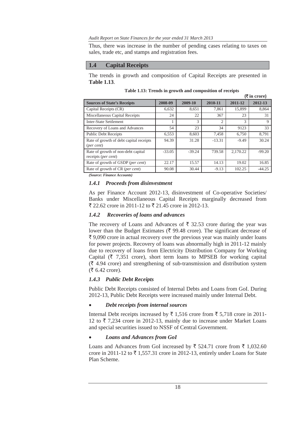#### *Audit Report on State Finances for the year ended 31 March 2013*

Thus, there was increase in the number of pending cases relating to taxes on sales, trade etc, and stamps and registration fees.

## **1.4 Capital Receipts**

The trends in growth and composition of Capital Receipts are presented in **Table 1.13**.

|                                                           |          |          |                |          | $($ ₹ in crore) |
|-----------------------------------------------------------|----------|----------|----------------|----------|-----------------|
| <b>Sources of State's Receipts</b>                        | 2008-09  | 2009-10  | 2010-11        | 2011-12  | 2012-13         |
| Capital Receipts (CR)                                     | 6,632    | 8,651    | 7.861          | 15,899   | 8,864           |
| Miscellaneous Capital Receipts                            | 24       | 22       | 367            | 23       | 31              |
| <b>Inter-State Settlement</b>                             |          | 3        | $\mathfrak{D}$ | 3        | 9               |
| Recovery of Loans and Advances                            | 54       | 23       | 34             | 9123     | 33              |
| <b>Public Debt Receipts</b>                               | 6,553    | 8.603    | 7,458          | 6.750    | 8.791           |
| Rate of growth of debt capital receipts<br>(per cent)     | 94.39    | 31.28    | $-13.31$       | $-9.49$  | 30.24           |
| Rate of growth of non-debt capital<br>receipts (per cent) | $-33.05$ | $-39.24$ | 739.58         | 2.170.22 | $-99.20$        |
| Rate of growth of GSDP (per cent)                         | 22.17    | 15.57    | 14.13          | 19.02    | 16.85           |
| Rate of growth of CR (per cent)                           | 90.08    | 30.44    | $-9.13$        | 102.25   | $-44.25$        |

**Table 1.13: Trends in growth and composition of receipts** 

*(Source: Finance Accounts)* 

## *1.4.1 Proceeds from disinvestment*

As per Finance Account 2012-13, disinvestment of Co-operative Societies/ Banks under Miscellaneous Capital Receipts marginally decreased from  $\bar{\xi}$  22.62 crore in 2011-12 to  $\bar{\xi}$  21.45 crore in 2012-13.

## *1.4.2 Recoveries of loans and advances*

The recovery of Loans and Advances of  $\bar{\xi}$  32.53 crore during the year was lower than the Budget Estimates ( $\bar{\xi}$  99.48 crore). The significant decrease of  $\bar{\tau}$  9,090 crore in actual recovery over the previous year was mainly under loans for power projects. Recovery of loans was abnormally high in 2011-12 mainly due to recovery of loans from Electricity Distribution Company for Working Capital ( $\bar{\tau}$  7,351 crore), short term loans to MPSEB for working capital  $(\bar{\mathbf{\xi}})$  4.94 crore) and strengthening of sub-transmission and distribution system  $(\overline{\mathfrak{F}} 6.42$  crore).

# *1.4.3 Public Debt Receipts*

Public Debt Receipts consisted of Internal Debts and Loans from GoI. During 2012-13, Public Debt Receipts were increased mainly under Internal Debt.

## x *Debt receipts from internal sources*

Internal Debt receipts increased by  $\bar{\tau}$  1,516 crore from  $\bar{\tau}$  5,718 crore in 2011-12 to  $\bar{\tau}$  7,234 crore in 2012-13, mainly due to increase under Market Loans and special securities issued to NSSF of Central Government.

# x *Loans and Advances from GoI*

Loans and Advances from GoI increased by  $\bar{\tau}$  524.71 crore from  $\bar{\tau}$  1,032.60 crore in 2011-12 to  $\bar{\tau}$  1,557.31 crore in 2012-13, entirely under Loans for State Plan Scheme.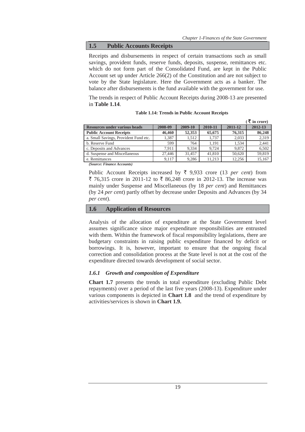## **1.5 Public Accounts Receipts**

Receipts and disbursements in respect of certain transactions such as small savings, provident funds, reserve funds, deposits, suspense, remittances etc. which do not form part of the Consolidated Fund, are kept in the Public Account set up under Article 266(2) of the Constitution and are not subject to vote by the State legislature. Here the Government acts as a banker. The balance after disbursements is the fund available with the government for use.

The trends in respect of Public Account Receipts during 2008-13 are presented in **Table 1.14**.

|                                       |         |         |         |         | $\mathcal{R}$ in crore) |
|---------------------------------------|---------|---------|---------|---------|-------------------------|
| <b>Resources under various heads</b>  | 2008-09 | 2009-10 | 2010-11 | 2011-12 | 2012-13                 |
| <b>Public Account Receipts</b>        | 46,460  | 52,353  | 65,675  | 76,315  | 86,248                  |
| a. Small Savings, Provident Fund etc. | 1,387   | 1.512   | 1,737   | 2,033   | 2,319                   |
| b. Reserve Fund                       | 599     | 764     | 1.191   | 1.534   | 2,441                   |
| c. Deposits and Advances              | 7.911   | 9.334   | 9.724   | 9.872   | 6,502                   |
| d. Suspense and Miscellaneous         | 27,446  | 31.457  | 41,810  | 50.620  | 59,819                  |
| e. Remittances                        | 9.117   | 9.286   | 11.213  | 12.256  | 15,167                  |

| <b>Table 1.14: Trends in Public Account Receipts</b> |  |  |  |  |
|------------------------------------------------------|--|--|--|--|
|------------------------------------------------------|--|--|--|--|

*(Source: Finance Accounts)* 

Public Account Receipts increased by  $\bar{\tau}$  9,933 crore (13 *per cent*) from ₹ 76,315 crore in 2011-12 to ₹ 86,248 crore in 2012-13. The increase was mainly under Suspense and Miscellaneous (by 18 *per cent*) and Remittances (by 24 *per cent*) partly offset by decrease under Deposits and Advances (by 34 *per cent*).

#### **1.6 Application of Resources**

Analysis of the allocation of expenditure at the State Government level assumes significance since major expenditure responsibilities are entrusted with them. Within the framework of fiscal responsibility legislations, there are budgetary constraints in raising public expenditure financed by deficit or borrowings. It is, however, important to ensure that the ongoing fiscal correction and consolidation process at the State level is not at the cost of the expenditure directed towards development of social sector.

## *1.6.1 Growth and composition of Expenditure*

**Chart 1.7** presents the trends in total expenditure (excluding Public Debt repayments) over a period of the last five years (2008-13). Expenditure under various components is depicted in **Chart 1.8** and the trend of expenditure by activities/services is shown in **Chart 1.9.**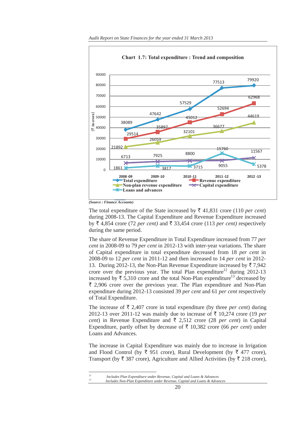

*Audit Report on State Finances for the year ended 31 March 2013* 

The total expenditure of the State increased by  $\bar{\tau}$  41,831 crore (110 *per cent*) during 2008-13. The Capital Expenditure and Revenue Expenditure increased by  $\bar{\xi}$  4,854 crore (72 *per cent)* and  $\bar{\xi}$  33,454 crore (113 *per cent)* respectively during the same period.

The share of Revenue Expenditure in Total Expenditure increased from 77 *per cent* in 2008-09 to 79 *per cent* in 2012-13 with inter-year variations. The share of Capital expenditure in total expenditure decreased from 18 *per cent* in 2008-09 to 12 *per cent* in 2011-12 and then increased to 14 *per cent* in 2012- 13. During 2012-13, the Non-Plan Revenue Expenditure increased by  $\overline{\tau}$  7,942 crore over the previous year. The total Plan expenditure<sup>12</sup> during 2012-13 increased by  $\bar{\xi}$  5,310 crore and the total Non-Plan expenditure<sup>13</sup> decreased by  $\bar{\xi}$  2,906 crore over the previous year. The Plan expenditure and Non-Plan expenditure during 2012-13 consisted 39 *per cent* and 61 *per cent* respectively of Total Expenditure.

The increase of  $\bar{\tau}$  2,407 crore in total expenditure (by three *per cent*) during 2012-13 over 2011-12 was mainly due to increase of  $\bar{\tau}$  10,274 crore (19 *per cent*) in Revenue Expenditure and  $\bar{\tau}$  2,512 crore (28 *per cent*) in Capital Expenditure, partly offset by decrease of  $\bar{\tau}$  10,382 crore (66 *per cent*) under Loans and Advances.

The increase in Capital Expenditure was mainly due to increase in Irrigation and Flood Control (by  $\bar{\tau}$  951 crore), Rural Development (by  $\bar{\tau}$  477 crore), Transport (by  $\bar{\tau}$  387 crore), Agriculture and Allied Activities (by  $\bar{\tau}$  218 crore),

<u> Alexandria de la contrada de la contrada de la contrada de la contrada de la contrada de la contrada de la c</u>

*<sup>(</sup>Source : Finance Accounts)* 

*<sup>12</sup> Includes Plan Expenditure under Revenue, Capital and Loans & Advances* 

*<sup>13</sup> Includes Non-Plan Expenditure under Revenue, Capital and Loans & Advances*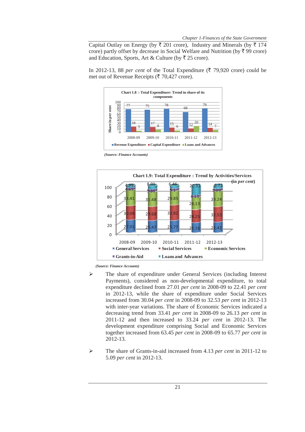Capital Outlay on Energy (by  $\bar{\tau}$  201 crore), Industry and Minerals (by  $\bar{\tau}$  174 crore) partly offset by decrease in Social Welfare and Nutrition (by  $\bar{\tau}$  99 crore) and Education, Sports, Art & Culture (by  $\overline{\xi}$  25 crore).

In 2012-13, 88 *per cent* of the Total Expenditure ( $\bar{\tau}$  79,920 crore) could be met out of Revenue Receipts ( $\bar{\xi}$  70,427 crore).



 *(Source: Finance Accounts)* 



*(Source: Finance Accounts)*

- ¾ The share of expenditure under General Services (including Interest Payments), considered as non-developmental expenditure, to total expenditure declined from 27.01 *per cent* in 2008-09 to 22.41 *per cent*  in 2012-13, while the share of expenditure under Social Services increased from 30.04 *per cent* in 2008-09 to 32.53 *per cent* in 2012-13 with inter-year variations. The share of Economic Services indicated a decreasing trend from 33.41 *per cent* in 2008-09 to 26.13 *per cent* in 2011-12 and then increased to 33.24 *per cent* in 2012-13. The development expenditure comprising Social and Economic Services together increased from 63.45 *per cent* in 2008-09 to 65.77 *per cent* in 2012-13.
- ¾ The share of Grants-in-aid increased from 4.13 *per cent* in 2011-12 to 5.09 *per cent* in 2012-13.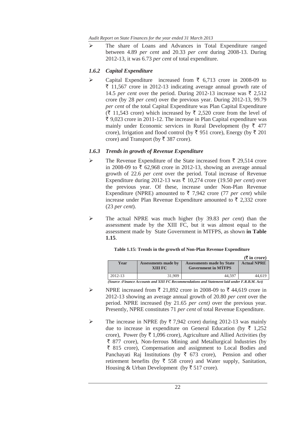*Audit Report on State Finances for the year ended 31 March 2013* 

¾ The share of Loans and Advances in Total Expenditure ranged between 4.89 *per cent* and 20.33 *per cent* during 2008-13. During 2012-13, it was 6.73 *per cent* of total expenditure.

# *1.6.2 Capital Expenditure*

 $\triangleright$  Capital Expenditure increased from  $\bar{\tau}$  6,713 crore in 2008-09 to  $\bar{\tau}$  11,567 crore in 2012-13 indicating average annual growth rate of 14.5 *per cent* over the period. During 2012-13 increase was  $\bar{\xi}$  2.512 crore (by 28 *per cent*) over the previous year. During 2012-13, 99.79 *per cent* of the total Capital Expenditure was Plan Capital Expenditure  $(\bar{\mathfrak{F}} 11,543$  crore) which increased by  $\bar{\mathfrak{F}} 2,520$  crore from the level of  $\bar{\tau}$  9,023 crore in 2011-12. The increase in Plan Capital expenditure was mainly under Economic services in Rural Development (by  $\bar{\tau}$  477 crore), Irrigation and flood control (by  $\bar{\xi}$  951 crore), Energy (by  $\bar{\xi}$  201 crore) and Transport (by  $\bar{\tau}$  387 crore).

## *1.6.3 Trends in growth of Revenue Expenditure*

- $\triangleright$  The Revenue Expenditure of the State increased from  $\bar{\tau}$  29,514 crore in 2008-09 to  $\bar{\tau}$  62,968 crore in 2012-13, showing an average annual growth of 22.6 *per cent* over the period. Total increase of Revenue Expenditure during 2012-13 was  $\bar{\tau}$  10,274 crore (19.50 *per cent*) over the previous year. Of these, increase under Non-Plan Revenue Expenditure (NPRE) amounted to  $\bar{\tau}$  7,942 crore (77 *per cent*) while increase under Plan Revenue Expenditure amounted to  $\bar{\tau}$  2,332 crore (23 *per cent*).
- ¾ The actual NPRE was much higher (by 39.83 *per cent*) than the assessment made by the XIII FC, but it was almost equal to the assessment made by State Government in MTFPS, as shown **in Table 1.15**.

|                                                                                             |                                |                                                                | $(\xi$ in crore)   |  |  |  |
|---------------------------------------------------------------------------------------------|--------------------------------|----------------------------------------------------------------|--------------------|--|--|--|
| Year                                                                                        | Assessments made by<br>XIII FC | <b>Assessments made by State</b><br><b>Government in MTFPS</b> | <b>Actual NPRE</b> |  |  |  |
| 2012-13                                                                                     | 31.909                         | 44.597                                                         | 44.619             |  |  |  |
| Source :Finance Accounts and XIII FC Recommendations and Statement laid under F.R.B.M. Act) |                                |                                                                |                    |  |  |  |

## **Table 1.15: Trends in the growth of Non-Plan Revenue Expenditure**

▶ NPRE increased from ₹ 21,892 crore in 2008-09 to ₹ 44,619 crore in 2012-13 showing an average annual growth of 20.80 *per cent* over the period. NPRE increased (by 21.65 *per cent)* over the previous year. Presently, NPRE constitutes 71 *per cent* of total Revenue Expenditure.

 $\triangleright$  The increase in NPRE (by  $\overline{\tau}$  7,942 crore) during 2012-13 was mainly due to increase in expenditure on General Education (by  $\bar{\tau}$  1,252 crore), Power (by  $\bar{\tau}$  1,096 crore), Agriculture and Allied Activities (by  $\bar{\tau}$  877 crore), Non-ferrous Mining and Metallurgical Industries (by  $\bar{\tau}$  815 crore), Compensation and assignment to Local Bodies and Panchayati Raj Institutions (by  $\bar{\tau}$  673 crore), Pension and other retirement benefits (by  $\overline{\zeta}$  558 crore) and Water supply, Sanitation, Housing & Urban Development (by  $\bar{\xi}$  517 crore).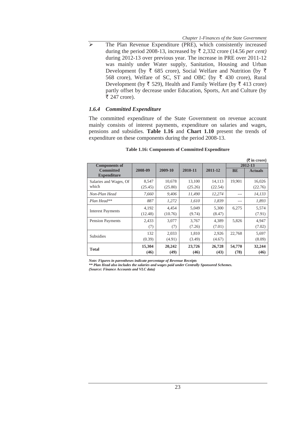$\triangleright$  The Plan Revenue Expenditure (PRE), which consistently increased during the period 2008-13, increased by  $\bar{\tau}$  2,332 crore (14.56 *per cent)* during 2012-13 over previous year. The increase in PRE over 2011-12 was mainly under Water supply, Sanitation, Housing and Urban Development (by  $\bar{\tau}$  685 crore), Social Welfare and Nutrition (by  $\bar{\tau}$ 568 crore), Welfare of SC, ST and OBC (by  $\bar{\tau}$  430 crore), Rural Development (by  $\bar{\tau}$  529), Health and Family Welfare (by  $\bar{\tau}$  413 crore) partly offset by decrease under Education, Sports, Art and Culture (by ₹ 247 crore).

## *1.6.4 Committed Expenditure*

The committed expenditure of the State Government on revenue account mainly consists of interest payments, expenditure on salaries and wages, pensions and subsidies. **Table 1.16** and **Chart 1.10** present the trends of expenditure on these components during the period 2008-13.

|                          |         |         |         |         |           | $(3 \nvert \cdot \vec{r}$ are $\vec{r}$ |
|--------------------------|---------|---------|---------|---------|-----------|-----------------------------------------|
| <b>Components of</b>     |         |         |         |         | 2012-13   |                                         |
| <b>Committed</b>         | 2008-09 | 2009-10 | 2010-11 | 2011-12 | <b>BE</b> | <b>Actuals</b>                          |
| <b>Expenditure</b>       |         |         |         |         |           |                                         |
| Salaries and Wages, Of   | 8,547   | 10,678  | 13,100  | 14,113  | 19,901    | 16,026                                  |
| which                    | (25.45) | (25.80) | (25.26) | (22.54) |           | (22.76)                                 |
| Non-Plan Head            | 7,660   | 9.406   | 11.490  | 12,274  | $- - -$   | 14,133                                  |
| Plan Head**              | 887     | 1,272   | 1.610   | 1,839   |           | 1,893                                   |
|                          | 4,192   | 4.454   | 5,049   | 5,300   | 6,275     | 5,574                                   |
| <b>Interest Payments</b> | (12.48) | (10.76) | (9.74)  | (8.47)  |           | (7.91)                                  |
| Pension Payments         | 2,433   | 3,077   | 3,767   | 4,389   | 5,826     | 4,947                                   |
|                          | (7)     | (7)     | (7.26)  | (7.01)  |           | (7.02)                                  |
| <b>Subsidies</b>         | 132     | 2,033   | 1,810   | 2,926   | 22,768    | 5,697                                   |
|                          | (0.39)  | (4.91)  | (3.49)  | (4.67)  |           | (8.09)                                  |
| <b>Total</b>             | 15,304  | 20,242  | 23,726  | 26,728  | 54,770    | 32,244                                  |
|                          | (46)    | (49)    | (46)    | (43)    | (78)      | (46)                                    |

#### **Table 1.16: Components of Committed Expenditure**

*Note: Figures in parentheses indicate percentage of Revenue Receipts* 

*\*\* Plan Head also includes the salaries and wages paid under Centrally Sponsored Schemes.* 

*(Source: Finance Accounts and VLC data)*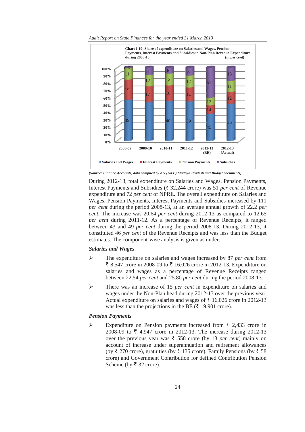

*Audit Report on State Finances for the year ended 31 March 2013* 

*(Source: Finance Accounts, data compiled by AG (A&E) Madhya Pradesh and Budget documents)*

During 2012-13, total expenditure on Salaries and Wages, Pension Payments, Interest Payments and Subsidies ( $\overline{\tau}$  32,244 crore) was 51 *per cent* of Revenue expenditure and 72 *per cent* of NPRE. The overall expenditure on Salaries and Wages, Pension Payments, Interest Payments and Subsidies increased by 111 *per cent* during the period 2008-13, at an average annual growth of 22.2 *per cent.* The increase was 20.64 *per cent* during 2012-13 as compared to 12.65 *per cent* during 2011-12. As a percentage of Revenue Receipts, it ranged between 43 and 49 *per cent* during the period 2008-13. During 2012-13, it constituted 46 *per cent* of the Revenue Receipts and was less than the Budget estimates. The component-wise analysis is given as under:

## *Salaries and Wages*

- ¾ The expenditure on salaries and wages increased by 87 *per cent* from ₹ 8,547 crore in 2008-09 to ₹ 16,026 crore in 2012-13. Expenditure on salaries and wages as a percentage of Revenue Receipts ranged between 22.54 *per cent* and 25.80 *per cent* during the period 2008-13.
- ¾ There was an increase of 15 *per cent* in expenditure on salaries and wages under the Non-Plan head during 2012-13 over the previous year. Actual expenditure on salaries and wages of  $\bar{\tau}$  16,026 crore in 2012-13 was less than the projections in the BE ( $\bar{\tau}$  19,901 crore).

# *Pension Payments*

Expenditure on Pension payments increased from  $\bar{\tau}$  2,433 crore in 2008-09 to  $\bar{\tau}$  4,947 crore in 2012-13. The increase during 2012-13 over the previous year was  $\bar{\tau}$  558 crore (by 13 *per cent*) mainly on account of increase under superannuation and retirement allowances (by  $\bar{\tau}$  270 crore), gratuities (by  $\bar{\tau}$  135 crore), Family Pensions (by  $\bar{\tau}$  58 crore) and Government Contribution for defined Contribution Pension Scheme (by  $\overline{\xi}$  32 crore).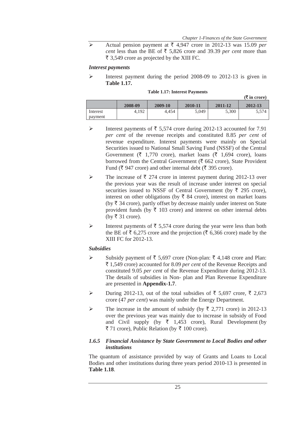Actual pension payment at  $\overline{\xi}$  4,947 crore in 2012-13 was 15.09 *per cent* less than the BE of  $\overline{\xi}$  5,826 crore and 39.39 *per cent* more than  $\bar{\tau}$  3,549 crore as projected by the XIII FC.

#### *Interest payments*

¾ Interest payment during the period 2008-09 to 2012-13 is given in **Table 1.17.**

|          | $(\overline{\mathbf{\mathsf{F}}}$ in crore) |         |         |         |         |
|----------|---------------------------------------------|---------|---------|---------|---------|
|          | 2008-09                                     | 2009-10 | 2010-11 | 2011-12 | 2012-13 |
| Interest | 4.192                                       | 4.454   | 5,049   | 5,300   | 5,574   |
| payment  |                                             |         |         |         |         |

- ightharpoonup interest payments of  $\bar{\tau}$  5,574 crore during 2012-13 accounted for 7.91 *per cent* of the revenue receipts and constituted 8.85 *per cent* of revenue expenditure. Interest payments were mainly on Special Securities issued to National Small Saving Fund (NSSF) of the Central Government ( $\bar{\tau}$  1,770 crore), market loans ( $\bar{\tau}$  1,694 crore), loans borrowed from the Central Government ( $\bar{\tau}$  662 crore), State Provident Fund ( $\bar{\xi}$  947 crore) and other internal debt ( $\bar{\xi}$  395 crore).
- $\triangleright$  The increase of  $\bar{\tau}$  274 crore in interest payment during 2012-13 over the previous year was the result of increase under interest on special securities issued to NSSF of Central Government (by  $\bar{\tau}$  295 crore), interest on other obligations (by  $\bar{\tau}$  84 crore), interest on market loans (by  $\bar{\tau}$  34 crore), partly offset by decrease mainly under interest on State provident funds (by  $\bar{\tau}$  103 crore) and interest on other internal debts (by ₹ 31 crore).
- External Interest payments of  $\overline{\xi}$  5,574 crore during the year were less than both the BE of  $\bar{\tau}$  6,275 crore and the projection ( $\bar{\tau}$  6,366 crore) made by the XIII FC for 2012-13.

#### *Subsidies*

- $\triangleright$  Subsidy payment of  $\bar{\tau}$  5,697 crore (Non-plan:  $\bar{\tau}$  4,148 crore and Plan: ` 1,549 crore) accounted for 8.09 *per cent* of the Revenue Receipts and constituted 9.05 *per cent* of the Revenue Expenditure during 2012-13. The details of subsidies in Non- plan and Plan Revenue Expenditure are presented in **Appendix-1.7**.
- → During 2012-13, out of the total subsidies of  $\bar{\tau}$  5,697 crore,  $\bar{\tau}$  2,673 crore (47 *per cent*) was mainly under the Energy Department.
- $\triangleright$  The increase in the amount of subsidy (by  $\bar{\tau}$  2,771 crore) in 2012-13 over the previous year was mainly due to increase in subsidy of Food and Civil supply (by  $\overline{\zeta}$  1,453 crore), Rural Development (by  $\overline{3}$  71 crore), Public Relation (by  $\overline{3}$  100 crore).

## *1.6.5 Financial Assistance by State Government to Local Bodies and other institutions*

The quantum of assistance provided by way of Grants and Loans to Local Bodies and other institutions during three years period 2010-13 is presented in **Table 1.18**.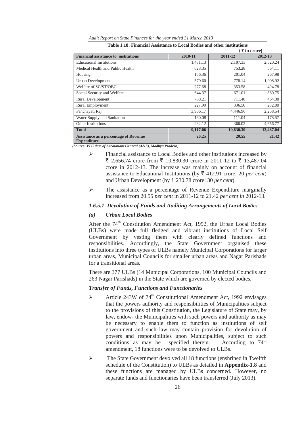|                                                                    |          | (₹in crore) |           |  |  |
|--------------------------------------------------------------------|----------|-------------|-----------|--|--|
| <b>Financial assistance to institutions</b>                        | 2010-11  | 2011-12     | 2012-13   |  |  |
| <b>Educational Institutions</b>                                    | 1,481.13 | 2,107.33    | 2,520.24  |  |  |
| Medical Health and Public Health                                   | 623.35   | 753.28      | 564.11    |  |  |
| Housing                                                            | 156.36   | 201.04      | 267.98    |  |  |
| <b>Urban Development</b>                                           | 579.60   | 778.14      | 1,008.92  |  |  |
| Welfare of SC/ST/OBC                                               | 277.68   | 353.58      | 404.78    |  |  |
| Social Security and Welfare                                        | 644.37   | 671.01      | 880.75    |  |  |
| Rural Development                                                  | 768.21   | 711.40      | 464.38    |  |  |
| <b>Rural Employment</b>                                            | 227.99   | 336.50      | 282.00    |  |  |
| Panchayati Raj                                                     | 3.966.17 | 4.446.96    | 2,258.54  |  |  |
| Water Supply and Sanitation                                        | 160.08   | 111.04      | 178.57    |  |  |
| Other Institutions                                                 | 232.12   | 360.02      | 4,656.77  |  |  |
| <b>Total</b>                                                       | 9,117.06 | 10,830.30   | 13,487.04 |  |  |
| <b>Assistance as a percentage of Revenue</b><br><b>Expenditure</b> | 20.25    | 20.55       | 21.42     |  |  |

*Audit Report on State Finances for the year ended 31 March 2013*  **Table 1.18: Financial Assistance to Local Bodies and other institutions** 

*(Source: VLC data of Accountant General (A&E), Madhya Pradesh)* 

- ¾ Financial assistance to Local Bodies and other institutions increased by  $\bar{\xi}$  2,656.74 crore from  $\bar{\xi}$  10,830.30 crore in 2011-12 to  $\bar{\xi}$  13,487.04 crore in 2012-13. The increase was mainly on account of financial assistance to Educational Institutions (by  $\bar{\tau}$  412.91 crore: 20 *per cent*) and Urban Development (by  $\bar{\tau}$  230.78 crore: 30 *per cent*).
- ¾ The assistance as a percentage of Revenue Expenditure marginally increased from 20.55 *per cent* in 2011-12 to 21.42 *per cent in* 2012-13.

## *1.6.5.1 Devolution of Funds and Auditing Arrangements of Local Bodies*

## *(a) Urban Local Bodies*

After the  $74<sup>th</sup>$  Constitution Amendment Act, 1992, the Urban Local Bodies (ULBs) were made full fledged and vibrant institutions of Local Self Government by vesting them with clearly defined functions and responsibilities. Accordingly, the State Government organised these institutions into three types of ULBs namely Municipal Corporations for larger urban areas, Municipal Councils for smaller urban areas and Nagar Parishads for a transitional areas.

There are 377 ULBs (14 Municipal Corporations, 100 Municipal Councils and 263 Nagar Parishads) in the State which are governed by elected bodies.

#### *Transfer of Funds, Functions and Functionaries*

- $\triangleright$  Article 243W of 74<sup>th</sup> Constitutional Amendment Act, 1992 envisages that the powers authority and responsibilities of Municipalities subject to the provisions of this Constitution, the Legislature of State may, by law, endow- the Municipalities with such powers and authority as may be necessary to enable them to function as institutions of self government and such law may contain provision for devolution of powers and responsibilities upon Municipalities, subject to such conditions as may be specified therein. According to  $74<sup>th</sup>$ amendment, 18 functions were to be devolved to ULBs.
- ¾ The State Government devolved all 18 functions (enshrined in Twelfth schedule of the Constitution) to ULBs as detailed in **Appendix-1.8** and these functions are managed by ULBs concerned. However, no separate funds and functionaries have been transferred (July 2013).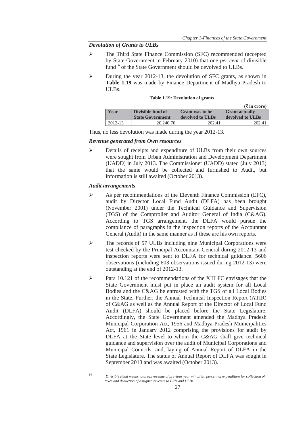## *Devolution of Grants to ULBs*

- ¾ The Third State Finance Commission (SFC) recommended (accepted by State Government in February 2010) that one *per cent* of divisible fund<sup>14</sup> of the State Government should be devolved to ULBs.
- $\triangleright$  During the year 2012-13, the devolution of SFC grants, as shown in **Table 1.19** was made by Finance Department of Madhya Pradesh to ULBs.

#### **Table 1.19: Devolution of grants**

|             |                         |                        | $(\bar{\bar{\mathbf{x}}}$ in crore) |
|-------------|-------------------------|------------------------|-------------------------------------|
| Year        | Divisible fund of       | <b>Grant was to be</b> | <b>Grant actually</b>               |
|             | <b>State Government</b> | devolved to ULBs       | devolved to ULBs                    |
| $2012 - 13$ | 20,240.70               | 202.41                 | 202.41                              |

Thus, no less devolution was made during the year 2012-13.

#### *Revenue generated from Own resources*

¾ Details of receipts and expenditure of ULBs from their own sources were sought from Urban Administration and Development Department (UADD) in July 2013. The Commissioner (UADD) stated (July 2013) that the same would be collected and furnished to Audit, but information is still awaited (October 2013).

## *Audit arrangements*

<u> Alexandria de la contrada de la contrada de la contrada de la contrada de la contrada de la contrada de la c</u>

- $\triangleright$  As per recommendations of the Eleventh Finance Commission (EFC), audit by Director Local Fund Audit (DLFA) has been brought (November 2001) under the Technical Guidance and Supervision (TGS) of the Comptroller and Auditor General of India (C&AG). According to TGS arrangement, the DLFA would pursue the compliance of paragraphs in the inspection reports of the Accountant General (Audit) in the same manner as if these are his own reports.
- ¾ The records of 57 ULBs including nine Municipal Corporations were test checked by the Principal Accountant General during 2012-13 and inspection reports were sent to DLFA for technical guidance. 5606 observations (including 603 observations issued during 2012-13) were outstanding at the end of 2012-13.
- $\triangleright$  Para 10.121 of the recommendations of the XIII FC envisages that the State Government must put in place an audit system for all Local Bodies and the C&AG be entrusted with the TGS of all Local Bodies in the State. Further, the Annual Technical Inspection Report (ATIR) of C&AG as well as the Annual Report of the Director of Local Fund Audit (DLFA) should be placed before the State Legislature. Accordingly, the State Government amended the Madhya Pradesh Municipal Corporation Act, 1956 and Madhya Pradesh Municipalities Act, 1961 in January 2012 comprising the provisions for audit by DLFA at the State level to whom the C&AG shall give technical guidance and supervision over the audit of Municipal Corporations and Municipal Councils, and, laying of Annual Report of DLFA in the State Legislature. The status of Annual Report of DLFA was sought in September 2013 and was awaited (October 2013).

<sup>14</sup> *Divisible Fund means total tax revenue of previous year minus ten percent of expenditure for collection of taxes and deduction of assigned revenue to PRIs and ULBs.*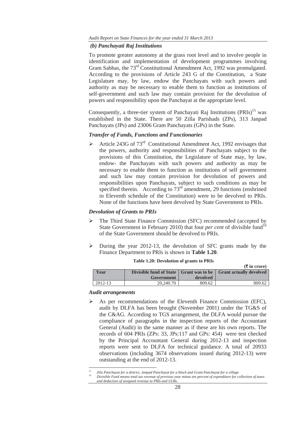#### *(b) Panchayati Raj Institutions*

To promote greater autonomy at the grass root level and to involve people in identification and implementation of development programmes involving Gram Sabhas, the 73<sup>rd</sup> Constitutional Amendment Act, 1992 was promulgated. According to the provisions of Article 243 G of the Constitution, a State Legislature may, by law, endow the Panchayats with such powers and authority as may be necessary to enable them to function as institutions of self-government and such law may contain provision for the devolution of powers and responsibility upon the Panchayat at the appropriate level.

Consequently, a three-tier system of Panchayati Raj Institutions (PRIs)<sup>15</sup> was established in the State. There are 50 Zilla Parishads (ZPs), 313 Janpad Panchayats (JPs) and 23006 Gram Panchayats (GPs) in the State.

## *Transfer of Funds, Functions and Functionaries*

 $\geq$  Article 243G of 73<sup>rd</sup> Constitutional Amendment Act, 1992 envisages that the powers, authority and responsibilities of Panchayats subject to the provisions of this Constitution, the Legislature of State may, by law, endow- the Panchayats with such powers and authority as may be necessary to enable them to function as institutions of self government and such law may contain provision for devolution of powers and responsibilities upon Panchayats, subject to such conditions as may be specified therein. According to  $73<sup>rd</sup>$  amendment, 29 functions (enshrined in Eleventh schedule of the Constitution) were to be devolved to PRIs. None of the functions have been devolved by State Government to PRIs.

## *Devolution of Grants to PRIs*

- ¾ The Third State Finance Commission (SFC) recommended (accepted by State Government in February 2010) that four *per cent* of divisible fund<sup>16</sup> of the State Government should be devolved to PRIs.
- $\triangleright$  During the year 2012-13, the devolution of SFC grants made by the Finance Department to PRIs is shown in **Table 1.20**.

|         |            |          | $(1)$ in crore)                                                     |
|---------|------------|----------|---------------------------------------------------------------------|
| Year    |            |          | Divisible fund of State   Grant was to be   Grant actually devolved |
|         | Government | devolved |                                                                     |
| 2012-13 | 20,240.70  | 809.62   | 809.62                                                              |

**(**` **in crore)** 

## **Table 1.20: Devolution of grants to PRIs**

#### *Audit arrangements*

 $\triangleright$  As per recommendations of the Eleventh Finance Commission (EFC), audit by DLFA has been brought (November 2001) under the TG&S of the C&AG. According to TGS arrangement, the DLFA would pursue the compliance of paragraphs in the inspection reports of the Accountant General (Audit) in the same manner as if these are his own reports. The records of 604 PRIs (ZPs: 33, JPs:117 and GPs: 454) were test checked by the Principal Accountant General during 2012-13 and inspection reports were sent to DLFA for technical guidance. A total of 20933 observations (including 3674 observations issued during 2012-13) were outstanding at the end of 2012-13.

<sup>&</sup>lt;u> Alexandria de la contrada de la contrada de la contrada de la contrada de la contrada de la contrada de la c</u> *15 Zila Panchayat for a district, Janpad Panchayat for a block and Gram Panchayat for a village* 

*<sup>16</sup> Divisible Fund means total tax revenue of previous year minus ten percent of expenditure for collection of taxes and deduction of assigned revenue to PRIs and ULBs.*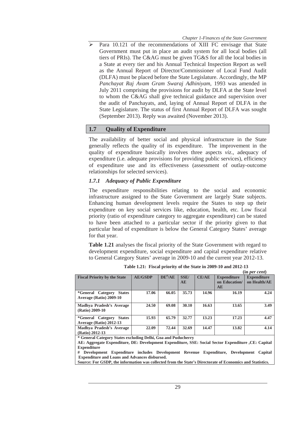$\triangleright$  Para 10.121 of the recommendations of XIII FC envisage that State Government must put in place an audit system for all local bodies (all tiers of PRIs). The C&AG must be given TG&S for all the local bodies in a State at every tier and his Annual Technical Inspection Report as well as the Annual Report of Director/Commissioner of Local Fund Audit (DLFA) must be placed before the State Legislature. Accordingly, the MP *Panchayat Raj Avam Gram Swaraj Adhiniyam,* 1993 was amended in July 2011 comprising the provisions for audit by DLFA at the State level to whom the C&AG shall give technical guidance and supervision over the audit of Panchayats, and, laying of Annual Report of DLFA in the State Legislature. The status of first Annual Report of DLFA was sought (September 2013). Reply was awaited (November 2013).

## **1.7 Quality of Expenditure**

The availability of better social and physical infrastructure in the State generally reflects the quality of its expenditure. The improvement in the quality of expenditure basically involves three aspects *viz*., adequacy of expenditure (i.e. adequate provisions for providing public services), efficiency of expenditure use and its effectiveness (assessment of outlay-outcome relationships for selected services).

#### *1.7.1 Adequacy of Public Expenditure*

The expenditure responsibilities relating to the social and economic infrastructure assigned to the State Government are largely State subjects. Enhancing human development levels require the States to step up their expenditure on key social services like, education, health, etc. Low fiscal priority (ratio of expenditure category to aggregate expenditure) can be stated to have been attached to a particular sector if the priority given to that particular head of expenditure is below the General Category States' average for that year.

**Table 1.21** analyses the fiscal priority of the State Government with regard to development expenditure, social expenditure and capital expenditure relative to General Category States' average in 2009-10 and the current year 2012-13.

| <b>Fiscal Priority by the State</b>       | <b>AE/GSDP</b> | $DE^{\#}/AE$ | <b>SSE/</b> | CE/AE | <b>Expenditure</b> | <b>Expenditure</b> |
|-------------------------------------------|----------------|--------------|-------------|-------|--------------------|--------------------|
|                                           |                |              | <b>AE</b>   |       | on Education/      | on Health/AE       |
|                                           |                |              |             |       | <b>AE</b>          |                    |
| <i>*General Category</i><br><b>States</b> | 17.06          | 66.05        | 35.73       | 14.96 | 16.19              | 4.24               |
| Average (Ratio) 2009-10                   |                |              |             |       |                    |                    |
| Madhya Pradesh's Average                  | 24.50          | 69.08        | 30.10       | 16.63 | 13.65              | 3.49               |
| (Ratio) 2009-10                           |                |              |             |       |                    |                    |
| <i>*General Category</i><br><b>States</b> | 15.93          | 65.79        | 32.77       | 13.23 | 17.23              | 4.47               |
| Average (Ratio) 2012-13                   |                |              |             |       |                    |                    |
| Madhya Pradesh's Average                  | 22.09          | 72.44        | 32.69       | 14.47 | 13.82              | 4.14               |
| (Ratio) 2012-13                           |                |              |             |       |                    |                    |

**Table 1.21: Fiscal priority of the State in 2009-10 and 2012-13 (in** *per cent***)**

**\* General Category States excluding Delhi, Goa and Puducherry** 

**AE: Aggregate Expenditure, DE: Development Expenditure, SSE: Social Sector Expenditure ,CE: Capital Expenditure**

**# Development Expenditure includes Development Revenue Expenditure, Development Capital Expenditure and Loans and Advances disbursed.** 

**Source: For GSDP, the information was collected from the State's Directorate of Economics and Statistics.**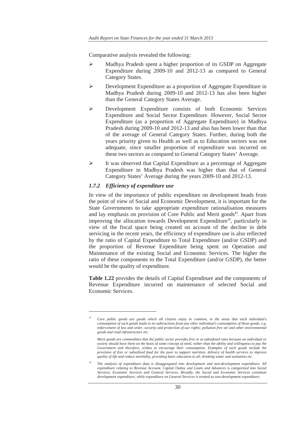Comparative analysis revealed the following:

- ¾ Madhya Pradesh spent a higher proportion of its GSDP on Aggregate Expenditure during 2009-10 and 2012-13 as compared to General Category States.
- Development Expenditure as a proportion of Aggregate Expenditure in Madhya Pradesh during 2009-10 and 2012-13 has also been higher than the General Category States Average.
- ¾ Development Expenditure consists of both Economic Services Expenditure and Social Sector Expenditure. However, Social Sector Expenditure (as a proportion of Aggregate Expenditure) in Madhya Pradesh during 2009-10 and 2012-13 and also has been lower than that of the average of General Category States. Further, during both the years priority given to Health as well as to Education sectors was not adequate, since smaller proportion of expenditure was incurred on these two sectors as compared to General Category States' Average.
- ¾ It was observed that Capital Expenditure as a percentage of Aggregate Expenditure in Madhya Pradesh was higher than that of General Category States' Average during the years 2009-10 and 2012-13.

#### *1.7.2 Efficiency of expenditure use*

<u> Alexandria de la contrada de la contrada de la contrada de la contrada de la contrada de la contrada de la c</u>

In view of the importance of public expenditure on development heads from the point of view of Social and Economic Development, it is important for the State Governments to take appropriate expenditure rationalisation measures and lay emphasis on provision of Core Public and Merit goods**<sup>17</sup>**. Apart from improving the allocation towards Development Expenditure<sup>18</sup>, particularly in view of the fiscal space being created on account of the decline in debt servicing in the recent years, the efficiency of expenditure use is also reflected by the ratio of Capital Expenditure to Total Expenditure (and/or GSDP) and the proportion of Revenue Expenditure being spent on Operation and Maintenance of the existing Social and Economic Services. The higher the ratio of these components to the Total Expenditure (and/or GSDP), the better would be the quality of expenditure.

**Table 1.22** provides the details of Capital Expenditure and the components of Revenue Expenditure incurred on maintenance of selected Social and Economic Services.

*<sup>17</sup> Core public goods are goods which all citizens enjoy in common, in the sense that each individual's consumption of such goods leads to no subtractions from any other individual's consumption of those goods, e.g. enforcement of law and order, security and protection of our rights; pollution free air and other environmental goods and road infrastructure etc.* 

*Merit goods are commodities that the public sector provides free or at subsidised rates because an individual or society should have them on the basis of some concept of need, rather than the ability and willingness to pay the*  Government and therefore, wishes to encourage their consumption. Examples of such goods include the *provision of free or subsidised food for the poor to support nutrition, delivery of health services to improve quality of life and reduce morbidity, providing basic education to all, drinking water and sanitation etc.*

*<sup>18</sup> The analysis of expenditure data is disaggregated into development and non-development expenditure. All expenditure relating to Revenue Account, Capital Outlay and Loans and Advances is categorized into Social Services, Economic Services and General Services. Broadly, the Social and Economic Services constitute development expenditure, while expenditure on General Services is treated as non-development expenditure.*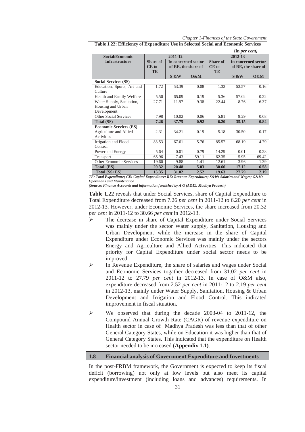*Chapter 1-Finances of the State Government* 

|                                       |                      |         |                     |                      | (in per cent)       |       |  |  |
|---------------------------------------|----------------------|---------|---------------------|----------------------|---------------------|-------|--|--|
| <b>Social/Economic</b>                |                      | 2011-12 |                     |                      | 2012-13             |       |  |  |
| <b>Infrastructure</b>                 | Share of             |         | In concerned sector | Share of             | In concerned sector |       |  |  |
|                                       | $CE$ to<br><b>TE</b> |         | of RE, the share of | $CE$ to<br><b>TE</b> | of RE, the share of |       |  |  |
|                                       |                      | S &W    | $0\&M$              |                      | S &W                | 0&M   |  |  |
| <b>Social Services (SS)</b>           |                      |         |                     |                      |                     |       |  |  |
| Education, Sports, Art and<br>Culture | 1.72                 | 53.39   | 0.08                | 1.33                 | 53.57               | 0.16  |  |  |
| Health and Family Welfare             | 5.50                 | 65.09   | 0.19                | 5.36                 | 57.02               | 0.22  |  |  |
| Water Supply, Sanitation,             | 27.71                | 11.97   | 9.38                | 22.44                | 8.76                | 6.37  |  |  |
| Housing and Urban                     |                      |         |                     |                      |                     |       |  |  |
| Development                           |                      |         |                     |                      |                     |       |  |  |
| Other Social Services                 | 7.98                 | 10.02   | 0.06                | 5.81                 | 9.29                | 0.08  |  |  |
| <b>Total (SS)</b>                     | 7.26                 | 37.75   | 0.92                | 6.20                 | 35.15               | 0.84  |  |  |
| <b>Economic Services (ES)</b>         |                      |         |                     |                      |                     |       |  |  |
| Agriculture and Allied<br>Activities  | 2.31                 | 34.21   | 0.19                | 5.18                 | 30.50               | 0.17  |  |  |
| Irrigation and Flood<br>Control       | 83.53                | 67.61   | 5.76                | 85.57                | 68.19               | 4.79  |  |  |
| Power and Energy                      | 5.64                 | 0.01    | 0.79                | 14.29                | 0.01                | 0.28  |  |  |
| Transport                             | 65.96                | 7.43    | 59.11               | 62.35                | 5.95                | 69.42 |  |  |
| Other Economic Services               | 19.60                | 9.88    | 1.41                | 12.61                | 3.96                | 1.39  |  |  |
| Total (ES)                            | 20.32                | 20.48   | 5.03                | 30.66                | 17.12               | 6.58  |  |  |
| Total (SS+ES)                         | 15.35                | 31.02   | 2.52                | 19.63                | 27.79               | 2.19  |  |  |

*TE: Total Expenditure; CE: Capital Expenditure; RE: Revenue Expenditure; S&W: Salaries and Wages; O&M: Operations and Maintenance* 

*(Source: Finance Accounts and information furnished by A G (A&E), Madhya Pradesh)*

**Table 1.22** reveals that under Social Services, share of Capital Expenditure to Total Expenditure decreased from 7.26 *per cent* in 2011-12 to 6.20 *per cent* in 2012-13. However, under Economic Services, the share increased from 20.32 *per cent* in 2011-12 to 30.66 *per cent* in 2012-13.

- ¾ The decrease in share of Capital Expenditure under Social Services was mainly under the sector Water supply, Sanitation, Housing and Urban Development while the increase in the share of Capital Expenditure under Economic Services was mainly under the sectors Energy and Agriculture and Allied Activities. This indicated that priority for Capital Expenditure under social sector needs to be improved.
- In Revenue Expenditure, the share of salaries and wages under Social and Economic Services togather decreased from 31.02 *per cent* in 2011-12 to 27.79 *per cent* in 2012-13. In case of O&M also, expenditure decreased from 2.52 *per cent* in 2011-12 to 2.19 *per cent* in 2012-13, mainly under Water Supply, Sanitation, Housing & Urban Development and Irrigation and Flood Control. This indicated improvement in fiscal situation.
- $\triangleright$  We observed that during the decade 2003-04 to 2011-12, the Compound Annual Growth Rate (CAGR) of revenue expenditure on Health sector in case of Madhya Pradesh was less than that of other General Category States, while on Education it was higher than that of General Category States. This indicated that the expenditure on Health sector needed to be increased **(Appendix 1.1)**.

## **1.8 Financial analysis of Government Expenditure and Investments**

In the post-FRBM framework, the Government is expected to keep its fiscal deficit (borrowing) not only at low levels but also meet its capital expenditure/investment (including loans and advances) requirements. In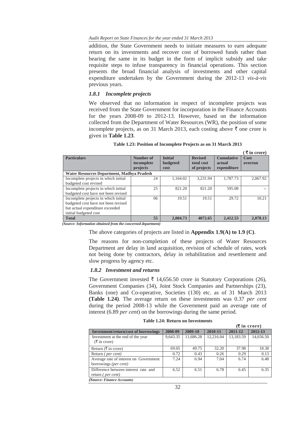## *Audit Report on State Finances for the year ended 31 March 2013*

addition, the State Government needs to initiate measures to earn adequate return on its investments and recover cost of borrowed funds rather than bearing the same in its budget in the form of implicit subsidy and take requisite steps to infuse transparency in financial operations. This section presents the broad financial analysis of investments and other capital expenditure undertaken by the Government during the 2012-13 *vis-à-vis* previous years.

## *1.8.1 Incomplete projects*

We observed that no information in respect of incomplete projects was received from the State Government for incorporation in the Finance Accounts for the years 2008-09 to 2012-13. However, based on the information collected from the Department of Water Resources (WR), the position of some incomplete projects, as on 31 March 2013, each costing above  $\bar{\tau}$  one crore is given in **Table 1.23**.

|                                            |            |                |                |                   | $\lambda$ in croic) |
|--------------------------------------------|------------|----------------|----------------|-------------------|---------------------|
| <b>Particulars</b>                         | Number of  | <b>Initial</b> | <b>Revised</b> | <b>Cumulative</b> | Cost                |
|                                            | incomplete | budgeted       | total cost     | actual            | overrun             |
|                                            | projects   | cost           | of projects    | expenditure       |                     |
| Water Resources Department, Madhya Pradesh |            |                |                |                   |                     |
| Incomplete projects in which initial       | 24         | 1,164.02       | 3,231.94       | 1,787.73          | 2,067.92            |
| budgeted cost revised                      |            |                |                |                   |                     |
| Incomplete projects in which initial       | 25         | 821.20         | 821.20         | 595.08            |                     |
| budgeted cost have not been revised        |            |                |                |                   |                     |
| Incomplete projects in which initial       | 06         | 19.51          | 19.51          | 29.72             | 10.21               |
| budgeted cost have not been revised        |            |                |                |                   |                     |
| but actual expenditure exceeded            |            |                |                |                   |                     |
| initial budgeted cost                      |            |                |                |                   |                     |
| <b>Total</b>                               | 55         | 2,004.73       | 4072.65        | 2,412.53          | 2,078.13            |

| Table 1.23: Position of Incomplete Projects as on 31 March 2013 |  |
|-----------------------------------------------------------------|--|
|-----------------------------------------------------------------|--|

**(** ` **in crore)** 

*(Source: Information obtained from the concerned department)* 

The above categories of projects are listed in **Appendix 1.9(A) to 1.9 (C)**.

The reasons for non-completion of these projects of Water Resources Department are delay in land acquisition, revision of schedule of rates, work not being done by contractors, delay in rehabilitation and resettlement and slow progress by agency etc.

#### *1.8.2 Investment and returns*

The Government invested  $\bar{\tau}$  14,656.50 crore in Statutory Corporations (26), Government Companies (34), Joint Stock Companies and Partnerships (23), Banks (one) and Co-operative, Societies (130) etc. as of 31 March 2013 **(Table 1.24)**. The average return on these investments was 0.37 *per cent* during the period 2008-13 while the Government paid an average rate of interest (6.89 *per cent*) on the borrowings during the same period.

#### **Table 1.24: Return on Investments**

|                                        |          |           |           |           | $(\overline{\mathbf{\mathsf{F}}}$ in crore) |
|----------------------------------------|----------|-----------|-----------|-----------|---------------------------------------------|
| Investment/return/cost of borrowings   | 2008-09  | 2009-10   | 2010-11   | 2011-12   | 2012-13                                     |
| Investment at the end of the year      | 9,643.35 | 11,686.28 | 12,216.04 | 13,183.59 | 14,656.50                                   |
| $(\bar{\bar{\mathcal{F}}}$ in crore)   |          |           |           |           |                                             |
| Return $(\bar{\tau}$ in crore)         | 69.05    | 49.75     | 32.20     | 37.98     | 18.38                                       |
| Return ( <i>per cent</i> )             | 0.72     | 0.43      | 0.26      | 0.29      | 0.13                                        |
| Average rate of interest on Government | 7.24     | 6.94      | 7.04      | 6.74      | 6.48                                        |
| borrowings (per cent)                  |          |           |           |           |                                             |
| Difference between interest rate and   | 6.52     | 6.51      | 6.78      | 6.45      | 6.35                                        |
| return ( <i>per cent</i> )             |          |           |           |           |                                             |
| (Source: Finance Accounts)             |          |           |           |           |                                             |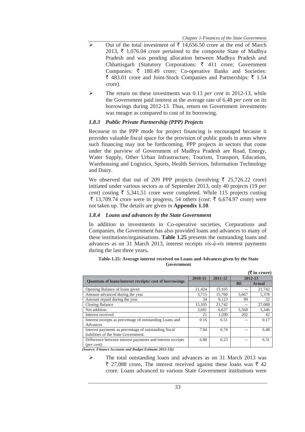- $\triangleright$  Out of the total investment of  $\bar{\tau}$  14,656.50 crore at the end of March 2013,  $\bar{\tau}$  1,076.04 crore pertained to the composite State of Madhya Pradesh and was pending allocation between Madhya Pradesh and Chhattisgarh (Statutory Corporations:  $\bar{\tau}$  411 crore; Government Companies:  $\bar{\tau}$  180.49 crore; Co-operative Banks and Societies: ₹ 483.01 crore and Joint-Stock Companies and Partnerships: ₹ 1.54 crore).
- ¾ The return on these investments was 0.13 *per cent* in 2012-13, while the Government paid interest at the average rate of 6.48 *per cent* on its borrowings during 2012-13. Thus, return on Government investments was meagre as compared to cost of its borrowing.

## *1.8.3 Public Private Partnership (PPP) Projects*

Recourse to the PPP mode for project financing is encouraged because it provides valuable fiscal space for the provision of public goods in areas where such financing may not be forthcoming. PPP projects in sectors that come under the purview of Government of Madhya Pradesh are Road, Energy, Water Supply, Other Urban Infrastructure, Tourism, Transport, Education, Warehousing and Logistics, Sports, Health Services, Information Technology and Dairy.

We observed that out of 209 PPP projects (involving  $\bar{\tau}$  25,726.22 crore) initiated under various sectors as of September 2013, only 40 projects (19 *per cent*) costing  $\bar{\tau}$  5,341.51 crore were completed. While 115 projects costing  $\bar{\xi}$  13,709.74 crore were in progress, 54 others (cost:  $\bar{\xi}$  6,674.97 crore) were not taken up. The details are given in **Appendix 1.10**.

## *1.8.4 Loans and advances by the State Government*

In addition to investments in Co-operative societies, Corporations and Companies, the Government has also provided loans and advances to many of these institutions/organisations. **Table 1.25** presents the outstanding loans and advances as on 31 March 2013, interest receipts *vis-à-vis* interest payments during the last three years**.**

|                                                              |         |         |           | $(\overline{\mathbf{\mathsf{L}}})$ in crore) |
|--------------------------------------------------------------|---------|---------|-----------|----------------------------------------------|
|                                                              | 2010-11 | 2011-12 |           | 2012-13                                      |
| <b>Ouantum of loans/interest receipts/cost of borrowings</b> |         |         | <b>BE</b> | <b>Actual</b>                                |
| Opening Balance of loans given                               | 11,424  | 15.105  | --        | 21,742                                       |
| Amount advanced during the year                              | 3.715   | 15.760  | 5.667     | 5,378                                        |
| Amount repaid during the year                                | 34      | 9,123   | 99        | 32                                           |
| Closing Balance                                              | 15.105  | 21,742  | --        | 27,088                                       |
| Net addition                                                 | 3,681   | 6,637   | 5,568     | 5,346                                        |
| Interest received                                            | 21      | 1.200   | 202       | 42                                           |
| Interest receipts as percentage of outstanding Loans and     | 0.16    | 6.51    | --        | 0.17                                         |
| Advances                                                     |         |         |           |                                              |
| Interest payments as percentage of outstanding fiscal        | 7.04    | 6.74    | --        | 6.48                                         |
| liabilities of the State Government.                         |         |         |           |                                              |
| Difference between interest payments and interest receipts   | 6.88    | 0.23    | --        | 6.31                                         |
| $(\text{per cent})$                                          |         |         |           |                                              |

**Table-1.25: Average interest received on Loans and Advances given by the State Government** 

*(Source: Finance Accounts and Budget Estimate 2012-13))* 

¾ The total outstanding loans and advances as on 31 March 2013 was  $\bar{\tau}$  27,088 crore. The interest received against these loans was  $\bar{\tau}$  42 crore. Loans advanced to various State Government institutions were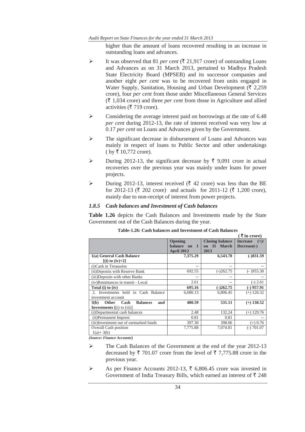higher than the amount of loans recovered resulting in an increase in outstanding loans and advances.

- $\triangleright$  It was observed that 81 *per cent* ( $\overline{\xi}$  21,917 crore) of outstanding Loans and Advances as on 31 March 2013, pertained to Madhya Pradesh State Electricity Board (MPSEB) and its successor companies and another eight *per cent* was to be recovered from units engaged in Water Supply, Sanitation, Housing and Urban Development ( $\bar{\tau}$  2.259) crore), four *per cent* from those under Miscellaneous General Services  $(\bar{\tau})$  1,034 crore) and three *per cent* from those in Agriculture and allied activities ( $\bar{\tau}$  719 crore).
- $\triangleright$  Considering the average interest paid on borrowings at the rate of 6.48 *per cent* during 2012-13, the rate of interest received was very low at 0.17 *per cent* on Loans and Advances given by the Government.
- ¾ The significant decrease in disbursement of Loans and Advances was mainly in respect of loans to Public Sector and other undertakings  $(\text{ by } \bar{\tau} 10,772 \text{ core}).$
- $\triangleright$  During 2012-13, the significant decrease by  $\bar{\tau}$  9,091 crore in actual recoveries over the previous year was mainly under loans for power projects.
- $\triangleright$  During 2012-13, interest received ( $\bar{\tau}$  42 crore) was less than the BE for 2012-13 ( $\bar{\tau}$  202 crore) and actuals for 2011-12 ( $\bar{\tau}$  1,200 crore), mainly due to non-receipt of interest from power projects.

## *1.8.5 Cash balances and Investment of Cash balances*

**Table 1.26** depicts the Cash Balances and Investments made by the State Government out of the Cash Balances during the year.

|                                                                                                 |                                              |                                               | ( ₹ in correct)                          |
|-------------------------------------------------------------------------------------------------|----------------------------------------------|-----------------------------------------------|------------------------------------------|
|                                                                                                 | Opening<br>balance on 1<br><b>April 2012</b> | <b>Closing balance</b><br>on 31 March<br>2013 | <b>Increase</b><br>$(+)/$<br>Decrease(-) |
| 1(a) General Cash Balance                                                                       | 7,375.29                                     | 6,543.70                                      | $(-)831.59$                              |
| $[(i) \text{ to } (iv)+2]$                                                                      |                                              |                                               |                                          |
| (i)Cash in Treasuries                                                                           |                                              | --                                            | --                                       |
| (ii) Deposits with Reserve Bank                                                                 | 692.55                                       | $(-)262.75$                                   | $(-)955.30$                              |
| (iii)Deposits with other Banks                                                                  |                                              |                                               |                                          |
| (iv)Remittances in transit - Local                                                              | 2.61                                         | $-$                                           | $(-) 2.61$                               |
| Total (i) to (iv)                                                                               | 695.16                                       | $(-)262.75$                                   | $(-)$ 957.91                             |
| 2. Investments held in Cash Balance                                                             | 6,680.13                                     | 6,806.45                                      | $(+)$ 126.32                             |
| investment account                                                                              |                                              |                                               |                                          |
| <b>Other</b><br><b>Balances</b><br>and<br>3(b)<br>Cash<br><b>Investments</b> $[(i)$ to $(iii)]$ | 400.59                                       | 531.11                                        | $(+)$ 130.52                             |
| (i)Departmental cash balances                                                                   | 2.48                                         | 132.24                                        | $(+)$ 129.76                             |
| (ii) Permanent Imprest                                                                          | 0.81                                         | 0.81                                          |                                          |
| (iii)Investment out of earmarked funds                                                          | 397.30                                       | 398.06                                        | $(+)$ 0.76                               |
| Overall Cash position<br>$1(a) + 3(b)$                                                          | 7.775.88                                     | 7.074.81                                      | $(-) 701.07$                             |

*(Source: Finance Accounts***)**

- ¾ The Cash Balances of the Government at the end of the year 2012-13 decreased by  $\bar{\tau}$  701.07 crore from the level of  $\bar{\tau}$  7.775.88 crore in the previous year.
- $\triangleright$  As per Finance Accounts 2012-13,  $\overline{\xi}$  6,806.45 crore was invested in Government of India Treasury Bills, which earned an interest of  $\bar{\tau}$  248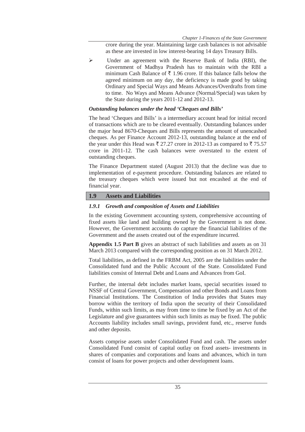crore during the year. Maintaining large cash balances is not advisable as these are invested in low interest-bearing 14 days Treasury Bills.

¾ Under an agreement with the Reserve Bank of India (RBI), the Government of Madhya Pradesh has to maintain with the RBI a minimum Cash Balance of  $\bar{\tau}$  1.96 crore. If this balance falls below the agreed minimum on any day, the deficiency is made good by taking Ordinary and Special Ways and Means Advances/Overdrafts from time to time. No Ways and Means Advance (Normal/Special) was taken by the State during the years 2011-12 and 2012-13.

## *Outstanding balances under the head 'Cheques and Bills'*

The head 'Cheques and Bills' is a intermediary account head for initial record of transactions which are to be cleared eventually. Outstanding balances under the major head 8670-Cheques and Bills represents the amount of unencashed cheques. As per Finance Account 2012-13, outstanding balance at the end of the year under this Head was  $\bar{\tau}$  27.27 crore in 2012-13 as compared to  $\bar{\tau}$  75.57 crore in 2011-12. The cash balances were overstated to the extent of outstanding cheques.

The Finance Department stated (August 2013) that the decline was due to implementation of e-payment procedure. Outstanding balances are related to the treasury cheques which were issued but not encashed at the end of financial year.

## **1.9 Assets and Liabilities**

## *1.9.1 Growth and composition of Assets and Liabilities*

In the existing Government accounting system, comprehensive accounting of fixed assets like land and building owned by the Government is not done. However, the Government accounts do capture the financial liabilities of the Government and the assets created out of the expenditure incurred.

**Appendix 1.5 Part B** gives an abstract of such liabilities and assets as on 31 March 2013 compared with the corresponding position as on 31 March 2012.

Total liabilities, as defined in the FRBM Act, 2005 are the liabilities under the Consolidated fund and the Public Account of the State. Consolidated Fund liabilities consist of Internal Debt and Loans and Advances from GoI.

Further, the internal debt includes market loans, special securities issued to NSSF of Central Government, Compensation and other Bonds and Loans from Financial Institutions. The Constitution of India provides that States may borrow within the territory of India upon the security of their Consolidated Funds, within such limits, as may from time to time be fixed by an Act of the Legislature and give guarantees within such limits as may be fixed. The public Accounts liability includes small savings, provident fund, etc., reserve funds and other deposits.

Assets comprise assets under Consolidated Fund and cash. The assets under Consolidated Fund consist of capital outlay on fixed assets- investments in shares of companies and corporations and loans and advances, which in turn consist of loans for power projects and other development loans.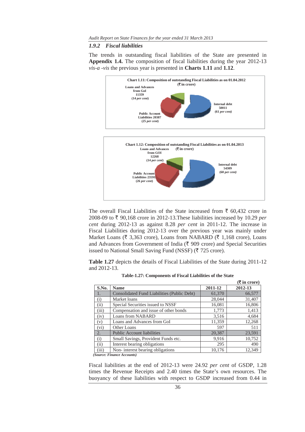#### *1.9.2 Fiscal liabilities*

The trends in outstanding fiscal liabilities of the State are presented in **Appendix 1.4.** The composition of fiscal liabilities during the year 2012-13 *vis-a -vis* the previous year is presented in **Charts 1.11** and **1.12**.



The overall Fiscal Liabilities of the State increased from  $\bar{\tau}$  60,432 crore in 2008-09 to  $\bar{\tau}$  90,168 crore in 2012-13. These liabilities increased by 10.29 *per cent* during 2012-13 as against 8.28 *per cent* in 2011-12. The increase in Fiscal Liabilities during 2012-13 over the previous year was mainly under Market Loans ( $\bar{\xi}$  3,363 crore), Loans from NABARD ( $\bar{\xi}$  1,168 crore), Loans and Advances from Government of India ( $\bar{\tau}$  909 crore) and Special Securities issued to National Small Saving Fund (NSSF) ( $\overline{\tau}$  725 crore).

**Table 1.27** depicts the details of Fiscal Liabilities of the State during 2011-12 and 2012-13.

| Table-1.27: Components of Fiscal Liabilities of the State |  |  |  |  |  |
|-----------------------------------------------------------|--|--|--|--|--|
|-----------------------------------------------------------|--|--|--|--|--|

|       |                                                    |         | $(\overline{\mathbf{\mathsf{F}}}$ in crore) |
|-------|----------------------------------------------------|---------|---------------------------------------------|
| S.No. | <b>Name</b>                                        | 2011-12 | 2012-13                                     |
| 1.    | <b>Consolidated Fund Liabilities (Public Debt)</b> | 61,370  | 66,577                                      |
| (i)   | Market loans                                       | 28,044  | 31,407                                      |
| (ii)  | Special Securities issued to NSSF                  | 16,081  | 16,806                                      |
| (iii) | Compensation and issue of other bonds              | 1,773   | 1,413                                       |
| (iv)  | Loans from NABARD                                  | 3,516   | 4,684                                       |
| (v)   | Loans and Advances from GoI                        | 11,359  | 12,268                                      |
| (vi)  | Other Loans                                        | 597     | 511                                         |
| 2.    | <b>Public Account liabilities</b>                  | 20,387  | 23,591                                      |
| (i)   | Small Savings, Provident Funds etc.                | 9.916   | 10,752                                      |
| (ii)  | Interest bearing obligations                       | 295     | 490                                         |
| (iii) | Non-interest bearing obligations                   | 10,176  | 12,349                                      |

*(Source: Finance Accounts)* 

Fiscal liabilities at the end of 2012-13 were 24.92 *per cent* of GSDP, 1.28 times the Revenue Receipts and 2.40 times the State's own resources. The buoyancy of these liabilities with respect to GSDP increased from 0.44 in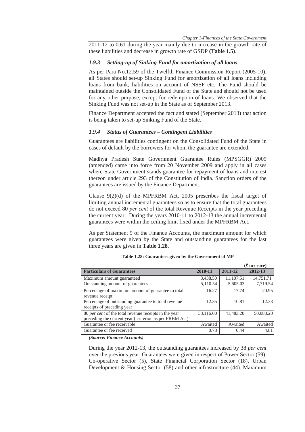2011-12 to 0.61 during the year mainly due to increase in the growth rate of these liabilities and decrease in growth rate of GSDP **(Table 1.5)**.

#### *1.9.3 Setting-up of Sinking Fund for amortization of all loans*

As per Para No.12.59 of the Twelfth Finance Commission Report (2005-10), all States should set-up Sinking Fund for amortization of all loans including loans from bank, liabilities on account of NSSF etc. The Fund should be maintained outside the Consolidated Fund of the State and should not be used for any other purpose, except for redemption of loans. We observed that the Sinking Fund was not set-up in the State as of September 2013.

Finance Department accepted the fact and stated (September 2013) that action is being taken to set-up Sinking Fund of the State.

#### *1.9.4 Status of Guarantees – Contingent Liabilities*

Guarantees are liabilities contingent on the Consolidated Fund of the State in cases of default by the borrowers for whom the guarantee are extended.

Madhya Pradesh State Government Guarantee Rules (MPSGGR) 2009 (amended) came into force from 20 November 2009 and apply in all cases where State Government stands guarantee for repayment of loans and interest thereon under article 293 of the Constitution of India. Sanction orders of the guarantees are issued by the Finance Department.

Clause 9(2)(d) of the MPFRBM Act, 2005 prescribes the fiscal target of limiting annual incremental guarantees so as to ensure that the total guarantees do not exceed 80 *per cent* of the total Revenue Receipts in the year preceding the current year. During the years 2010-11 to 2012-13 the annual incremental guarantees were within the ceiling limit fixed under the MPFRBM Act.

As per Statement 9 of the Finance Accounts, the maximum amount for which guarantees were given by the State and outstanding guarantees for the last three years are given in **Table 1.28**.

|                                                                                                                 |           |           | $(\bar{\mathbf{\mathsf{t}}}$ in crore) |
|-----------------------------------------------------------------------------------------------------------------|-----------|-----------|----------------------------------------|
| <b>Particulars of Guarantees</b>                                                                                | 2010-11   | 2011-12   | 2012-13                                |
| Maximum amount guaranteed                                                                                       | 8,438.50  | 11,107.51 | 14,751.71                              |
| Outstanding amount of guarantees                                                                                | 5,110.54  | 5,605.03  | 7,719.54                               |
| Percentage of maximum amount of guarantee to total<br>revenue receipt                                           | 16.27     | 17.74     | 20.95                                  |
| Percentage of outstanding guarantee to total revenue<br>receipts of preceding year                              | 12.35     | 10.81     | 12.33                                  |
| 80 per cent of the total revenue receipts in the year<br>preceding the current year (criterion as per FRBM Act) | 33,116.00 | 41,483.20 | 50,083.20                              |
| Guarantee or fee receivable                                                                                     | Awaited   | Awaited   | Awaited                                |
| Guarantee or fee received                                                                                       | 0.78      | 0.44      | 4.81                                   |

#### **Table 1.28: Guarantees given by the Government of MP**

*(Source: Finance Accounts)* 

During the year 2012-13, the outstanding guarantees increased by 38 *per cent* over the previous year. Guarantees were given in respect of Power Sector (59), Co-operative Sector (5), State Financial Corporation Sector (18), Urban Development & Housing Sector (58) and other infrastructure (44). Maximum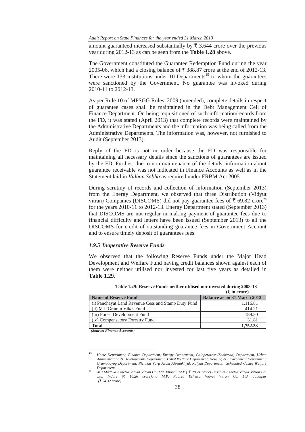*Audit Report on State Finances for the year ended 31 March 2013* 

amount guaranteed increased substantially by  $\bar{\tau}$  3,644 crore over the previous year during 2012-13 as can be seen from the **Table 1.28** above.

The Government constituted the Guarantee Redemption Fund during the year 2005-06, which had a closing balance of  $\overline{\xi}$  388.87 crore at the end of 2012-13. There were 133 institutions under 10 Departments<sup>19</sup> to whom the guarantees were sanctioned by the Government. No guarantee was invoked during 2010-11 to 2012-13.

As per Rule 10 of MPSGG Rules, 2009 (amended), complete details in respect of guarantee cases shall be maintained in the Debt Management Cell of Finance Department. On being requisitioned of such information/records from the FD, it was stated (April 2013) that complete records were maintained by the Administrative Departments and the information was being called from the Administrative Departments. The information was, however, not furnished to Audit (September 2013).

Reply of the FD is not in order because the FD was responsible for maintaining all necessary details since the sanctions of guarantees are issued by the FD. Further, due to non maintenance of the details, information about guarantee receivable was not indicated in Finance Accounts as well as in the Statement laid in *Vidhan Sabha* as required under FRBM Act 2005.

During scrutiny of records and collection of information (September 2013) from the Energy Department, we observed that three Distribution (Vidyut vitran) Companies (DISCOMS) did not pay guarantee fees of  $\bar{\tau}$  69.82 crore<sup>20</sup> for the years 2010-11 to 2012-13. Energy Department stated (September 2013) that DISCOMS are not regular in making payment of guarantee fees due to financial difficulty and letters have been issued (September 2013) to all the DISCOMS for credit of outstanding guarantee fees in Government Account and to ensure timely deposit of guarantees fees.

#### *1.9.5 Inoperative Reserve Funds*

We observed that the following Reserve Funds under the Major Head Development and Welfare Fund having credit balances shown against each of them were neither utilised nor invested for last five years as detailed in **Table 1.29**.

|                                                     | $(\overline{\mathbf{\mathsf{F}}}$ in crore) |
|-----------------------------------------------------|---------------------------------------------|
| <b>Name of Reserve Fund</b>                         | <b>Balance as on 31 March 2013</b>          |
| (i) Panchayat Land Revenue Cess and Stamp Duty Fund | 1,116.81                                    |
| (ii) M P Gramin Vikas Fund                          | 414.21                                      |
| (iii) Forest Development Fund                       | 189.50                                      |
| (iv) Compensatory Forestry Fund                     | 31.81                                       |
| <b>Total</b>                                        | 1,752.33                                    |
| $\sim$<br>$\cdots$<br>$\sim$                        |                                             |

|  |  |  | Table 1.29: Reserve Funds neither utilised nor invested during 2008-13 |  |  |
|--|--|--|------------------------------------------------------------------------|--|--|
|  |  |  |                                                                        |  |  |

*(Source: Finance Accounts)* 

<u> Alexandria de la contrada de la contrada de la contrada de la contrada de la contrada de la contrada de la c</u>

*<sup>19</sup> Home Department, Finance Department, Energy Department, Co-operative (Sahkarita) Department, Urban Administration & Developments Department, Tribal Welfare Department, Housing & Environment Department. Gramodoyog Department, Pichhda Varg Avam Alpsankhyak Kalyan Department, Scheduled Castes Welfare Department.*

<sup>20</sup> *MP Madhya Kshetra Vidyut Vitran Co. Ltd. Bhopal, M.P.(* ` *29.24 crore) Paschim Kshetra Vidyut Vitran Co. Ltd. Indore (*` *16.26 crore)and M.P. Poorva Kshetra Vidyut Vitran Co. Ltd. Jabalpur (*` *24.32 crore).*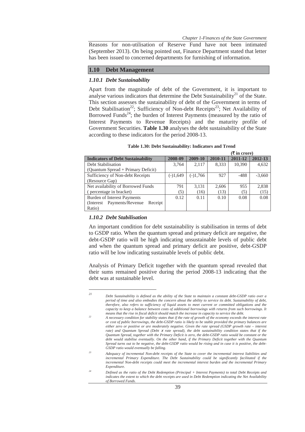*Chapter 1-Finances of the State Government* 

Reasons for non-utilisation of Reserve Fund have not been intimated (September 2013). On being pointed out, Finance Department stated that letter has been issued to concerned departments for furnishing of information.

## **1.10 Debt Management**

#### *1.10.1 Debt Sustainability*

Apart from the magnitude of debt of the Government, it is important to analyse various indicators that determine the Debt Sustainability<sup>21</sup> of the State. This section assesses the sustainability of debt of the Government in terms of Debt Stabilisation<sup>22</sup>; Sufficiency of Non-debt Receipts<sup>23</sup>; Net Availability of Borrowed Funds<sup>24</sup>; the burden of Interest Payments (measured by the ratio of Interest Payments to Revenue Receipts) and the maturity profile of Government Securities. **Table 1.30** analyses the debt sustainability of the State according to these indicators for the period 2008-13.

|                                           |          |            |         | $(3\overline{5})$ in crore) |          |
|-------------------------------------------|----------|------------|---------|-----------------------------|----------|
| <b>Indicators of Debt Sustainability</b>  | 2008-09  | 2009-10    | 2010-11 | 2011-12                     | 2012-13  |
| Debt Stabilisation                        | 3,764    | 2.117      | 8,333   | 10,390                      | 4,632    |
| (Quantum Spread + Primary Deficit)        |          |            |         |                             |          |
| Sufficiency of Non-debt Receipts          | (-)1,649 | $(-)1,766$ | 927     | $-488$                      | $-3,660$ |
| (Resource Gap)                            |          |            |         |                             |          |
| Net availability of Borrowed Funds        | 791      | 3.131      | 2,606   | 955                         | 2,838    |
| (percentage in bracket)                   | (5)      | (16)       | (13)    | (5)                         | (15)     |
| Burden of Interest Payments               | 0.12     | 0.11       | 0.10    | 0.08                        | 0.08     |
| Payments/Revenue<br>Receipt<br>(Interest) |          |            |         |                             |          |
| Ratio)                                    |          |            |         |                             |          |

## *1.10.2 Debt Stabilisation*

<u> Alexandria de la contrada de la contrada de la contrada de la contrada de la contrada de la contrada de la c</u>

An important condition for debt sustainability is stabilisation in terms of debt to GSDP ratio. When the quantum spread and primary deficit are negative, the debt-GSDP ratio will be high indicating unsustainable levels of public debt and when the quantum spread and primary deficit are positive, debt-GSDP ratio will be low indicating sustainable levels of public debt.

Analysis of Primary Deficit together with the quantum spread revealed that their sums remained positive during the period 2008-13 indicating that the debt was at sustainable level.

*<sup>21</sup> Debt Sustainability is defined as the ability of the State to maintain a constant debt-GSDP ratio over a period of time and also embodies the concern about the ability to service its debt. Sustainability of debt, therefore, also refers to sufficiency of liquid assets to meet current or committed obligations and the capacity to keep a balance between costs of additional borrowings with returns from such borrowings. It* 

*means that the rise in fiscal deficit should match the increase in capacity to service the debt.*<br><sup>22</sup> A necessary condition for stability states that if the rate of growth of the economy exceeds the interest rate *or cost of public borrowings, the debt-GSDP ratio is likely to be stable provided the primary balances are either zero or positive or are moderately negative. Given the rate spread (GSDP growth rate – interest rate) and Quantum Spread (Debt* x *rate spread), the debt sustainability condition states that if the Quantum Spread, together with the Primary Deficit is zero, the debt-GSDP ratio would be constant or the debt would stabilise eventually. On the other hand, if the Primary Deficit together with the Quantum Spread turns out to be negative, the debt-GSDP ratio would be rising and in case it is positive, the debt-GSDP ratio would eventually be falling.* 

*<sup>23</sup> Adequacy of incremental Non-debt receipts of the State to cover the incremental interest liabilities and incremental Primary Expenditure. The Debt Sustainability could be significantly facilitated if the incremental Non-debt receipts could meet the incremental interest burden and the incremental Primary Expenditure.*

*<sup>24</sup> Defined as the ratio of the Debt Redemption (Principal + Interest Payments) to total Debt Receipts and indicates the extent to which the debt receipts are used in Debt Redemption indicating the Net Availability of Borrowed Funds.*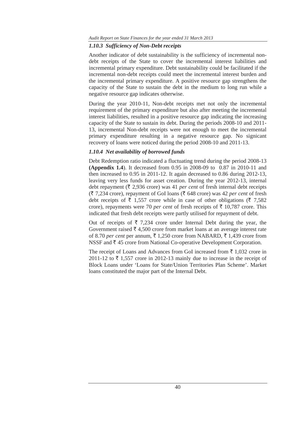## *1.10.3 Sufficiency of Non-Debt receipts*

Another indicator of debt sustainability is the sufficiency of incremental nondebt receipts of the State to cover the incremental interest liabilities and incremental primary expenditure. Debt sustainability could be facilitated if the incremental non-debt receipts could meet the incremental interest burden and the incremental primary expenditure. A positive resource gap strengthens the capacity of the State to sustain the debt in the medium to long run while a negative resource gap indicates otherwise.

During the year 2010-11, Non-debt receipts met not only the incremental requirement of the primary expenditure but also after meeting the incremental interest liabilities, resulted in a positive resource gap indicating the increasing capacity of the State to sustain its debt. During the periods 2008-10 and 2011- 13, incremental Non-debt receipts were not enough to meet the incremental primary expenditure resulting in a negative resource gap. No signicant recovery of loans were noticed during the period 2008-10 and 2011-13.

## *1.10.4 Net availability of borrowed funds*

Debt Redemption ratio indicated a fluctuating trend during the period 2008-13 **(Appendix 1.4**). It decreased from 0.95 in 2008-09 to 0.87 in 2010-11 and then increased to 0.95 in 2011-12. It again decreased to 0.86 during 2012-13, leaving very less funds for asset creation. During the year 2012-13, internal debt repayment ( $\bar{\tau}$  2,936 crore) was 41 *per cent* of fresh internal debt receipts  $({\overline{\mathfrak{F}}}$  7,234 crore), repayment of GoI loans ( ${\overline{\mathfrak{F}}}$  648 crore) was 42 *per cent* of fresh debt receipts of  $\bar{\tau}$  1,557 crore while in case of other obligations ( $\bar{\tau}$  7,582 crore), repayments were 70 *per cent* of fresh receipts of  $\bar{\tau}$  10,787 crore. This indicated that fresh debt receipts were partly utilised for repayment of debt.

Out of receipts of  $\bar{\xi}$  7,234 crore under Internal Debt during the year, the Government raised  $\bar{\tau}$  4,500 crore from market loans at an average interest rate of 8.70 *per cent* per annum,  $\bar{\xi}$  1,250 crore from NABARD,  $\bar{\xi}$  1,439 crore from NSSF and  $\bar{\tau}$  45 crore from National Co-operative Development Corporation.

The receipt of Loans and Advances from GoI increased from  $\bar{z}$  1,032 crore in 2011-12 to  $\bar{\tau}$  1,557 crore in 2012-13 mainly due to increase in the receipt of Block Loans under 'Loans for State/Union Territories Plan Scheme'. Market loans constituted the major part of the Internal Debt.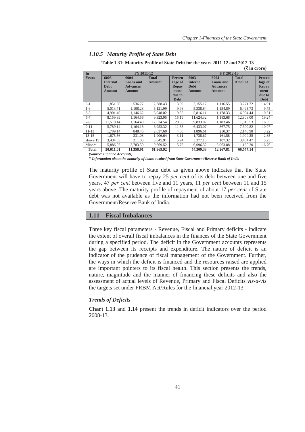#### *1.10.5 Maturity Profile of State Debt*

|                        |                 |                 |               |               |                 |                 | $(\overline{\mathbf{\mathsf{F}}}$ in crore) |               |  |
|------------------------|-----------------|-----------------|---------------|---------------|-----------------|-----------------|---------------------------------------------|---------------|--|
| $\overline{\text{In}}$ |                 | FY 2011-12      |               |               | FY 2012-13      |                 |                                             |               |  |
| <b>Years</b>           | 6003-           | 6004-           | <b>Total</b>  | <b>Percen</b> | 6003-           | 6004-           | <b>Total</b>                                | <b>Percen</b> |  |
|                        | <b>Internal</b> | Loans and       | <b>Amount</b> | tage of       | <b>Internal</b> | Loans and       | Amount                                      | tage of       |  |
|                        | <b>Debt</b>     | <b>Advances</b> |               | <b>Repay</b>  | <b>Debt</b>     | <b>Advances</b> |                                             | <b>Repay</b>  |  |
|                        | <b>Amount</b>   | <b>Amount</b>   |               | ment          | <b>Amount</b>   | <b>Amount</b>   |                                             | ment          |  |
|                        |                 |                 |               | due to        |                 |                 |                                             | due to        |  |
|                        |                 |                 |               | <b>Debt</b>   |                 |                 |                                             | <b>Debt</b>   |  |
| $0-1$                  | 1,851.66        | 536.77          | 2,388.43      | 3.89          | 2,155.17        | 1,116.55        | 3.271.72                                    | 4.91          |  |
| $1 - 3$                | 5,013.71        | 1.108.28        | 6,121.99      | 9.98          | 5,338.84        | 1,154.89        | 6.493.73                                    | 9.75          |  |
| $3 - 5$                | 4.901.40        | 1.146.62        | 6.048.02      | 9.85          | 5,816.11        | 1.178.33        | 6.994.44                                    | 10.51         |  |
| $5 - 7$                | 8,159.39        | 1,164.56        | 9,323.95      | 15.19         | 11,624.32       | 1,183.68        | 12,808.00                                   | 19.24         |  |
| $7-9$                  | 11.510.14       | 1.164.40        | 12,674.54     | 20.65         | 9.833.07        | 1,183.46        | 11.016.53                                   | 16.55         |  |
| $9 - 11$               | 5.789.14        | 1,164.18        | 6,953.32      | 11.33         | 6,433.07        | 867.75          | 7,300.82                                    | 10.97         |  |
| $11 - 13$              | 1.789.14        | 848.46          | 2.637.60      | 4.30          | 1.896.61        | 250.37          | 2.146.98                                    | 3.22          |  |
| $13 - 15$              | 1,675.56        | 231.08          | 1,906.64      | 3.11          | 1,738.67        | 161.58          | 1,900.25                                    | 2.85          |  |
| above 15               | 3.434.85        | 211.06          | 3.645.91      | 5.94          | 3.377.15        | 107.32          | 3.484.47                                    | 5.23          |  |
| Misc.*                 | 5,886.02        | 3,783.50        | 9,669.52      | 15.76         | 6,096.32        | 5,063.88        | 11,160.20                                   | 16.76         |  |
| <b>Total</b>           | 50.011.01       | 11.358.91       | 61.369.92     |               | 54,309.33       | 12.267.81       | 66,577.14                                   |               |  |

#### **Table 1.31: Maturity Profile of State Debt for the years 2011-12 and 2012-13**

*(Source: Finance Accounts)* 

*\* Information about the maturity of loans awaited from State Government/Reserve Bank of India*

The maturity profile of State debt as given above indicates that the State Government will have to repay 25 *per cent* of its debt between one and five years, 47 *per cent* between five and 11 years, 11 *per cent* between 11 and 15 years above. The maturity profile of repayment of about 17 *per cent* of State debt was not available as the information had not been received from the Government/Reserve Bank of India.

## **1.11 Fiscal Imbalances**

Three key fiscal parameters - Revenue, Fiscal and Primary deficits - indicate the extent of overall fiscal imbalances in the finances of the State Government during a specified period. The deficit in the Government accounts represents the gap between its receipts and expenditure. The nature of deficit is an indicator of the prudence of fiscal management of the Government. Further, the ways in which the deficit is financed and the resources raised are applied are important pointers to its fiscal health. This section presents the trends, nature, magnitude and the manner of financing these deficits and also the assessment of actual levels of Revenue, Primary and Fiscal Deficits *vis-a-vis* the targets set under FRBM Act/Rules for the financial year 2012-13.

#### *Trends of Deficits*

**Chart 1.13** and **1.14** present the trends in deficit indicators over the period 2008-13.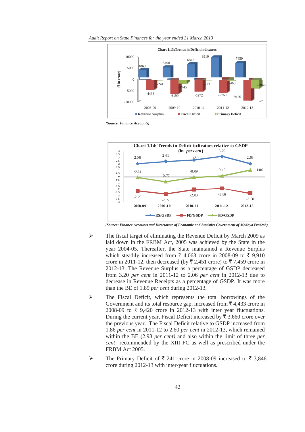*Audit Report on State Finances for the year ended 31 March 2013* 



*(Source: Finance Accounts)* 



*(Source: Finance Accounts and Directorate of Economic and Statistics Government of Madhya Pradesh)* 

- ¾ The fiscal target of eliminating the Revenue Deficit by March 2009 as laid down in the FRBM Act, 2005 was achieved by the State in the year 2004-05. Thereafter, the State maintained a Revenue Surplus which steadily increased from  $\bar{\tau}$  4,063 crore in 2008-09 to  $\bar{\tau}$  9,910 crore in 2011-12, then decreased (by  $\bar{\tau}$  2,451 crore) to  $\bar{\tau}$  7,459 crore in 2012-13. The Revenue Surplus as a percentage of GSDP decreased from 3.20 *per cent* in 2011-12 to 2.06 *per cent* in 2012-13 due to decrease in Revenue Receipts as a percentage of GSDP. It was more than the BE of 1.89 *per cent* during 2012-13*.*
- ¾ The Fiscal Deficit, which represents the total borrowings of the Government and its total resource gap, increased from  $\bar{\tau}$  4,433 crore in 2008-09 to  $\overline{\xi}$  9,420 crore in 2012-13 with inter year fluctuations. During the current year, Fiscal Deficit increased by  $\bar{\tau}$  3,660 crore over the previous year. The Fiscal Deficit relative to GSDP increased from 1.86 *per cent* in 2011-12 to 2.60 *per cent* in 2012-13, which remained within the BE (2.98 *per cent)* and also within the limit of three *per cent* recommended by the XIII FC as well as prescribed under the FRBM Act 2005.
- $\triangleright$  The Primary Deficit of ₹ 241 crore in 2008-09 increased to ₹ 3,846 crore during 2012-13 with inter-year fluctuations.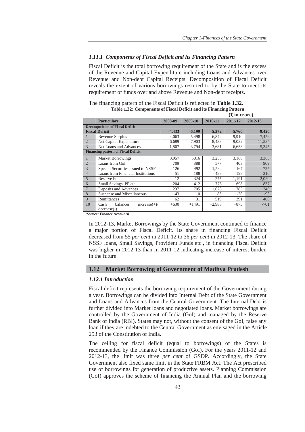## *1.11.1 Components of Fiscal Deficit and its Financing Pattern*

Fiscal Deficit is the total borrowing requirement of the State and is the excess of the Revenue and Capital Expenditure including Loans and Advances over Revenue and Non-debt Capital Receipts. Decomposition of Fiscal Deficit reveals the extent of various borrowings resorted to by the State to meet its requirement of funds over and above Revenue and Non-debt receipts.

| The financing pattern of the Fiscal Deficit is reflected in <b>Table 1.32</b> . |
|---------------------------------------------------------------------------------|
| Table 1.32: Components of Fiscal Deficit and its Financing Pattern              |
| $(F \in \mathbb{R})$                                                            |

|                |                                            |          |          |          | $(1 \text{ m} \cup \text{ m})$ |           |
|----------------|--------------------------------------------|----------|----------|----------|--------------------------------|-----------|
|                | <b>Particulars</b>                         | 2008-09  | 2009-10  | 2010-11  | 2011-12                        | 2012-13   |
|                | <b>Decomposition of Fiscal Deficit</b>     |          |          |          |                                |           |
|                | <b>Fiscal Deficit</b>                      | $-4,433$ | $-6,199$ | $-5,272$ | $-5,760$                       | $-9,420$  |
|                | Revenue Surplus                            | 4,063    | 5,498    | 6,842    | 9,910                          | 7,459     |
| $\overline{2}$ | Net Capital Expenditure                    | $-6,689$ | $-7,903$ | $-8,433$ | $-9,032$                       | $-11,534$ |
| 3              | Net Loans and Advances                     | $-1,807$ | $-3,794$ | $-3,681$ | $-6,638$                       | $-5,345$  |
|                | <b>Financing pattern of Fiscal Deficit</b> |          |          |          |                                |           |
|                | <b>Market Borrowings</b>                   | 3,957    | 5016     | 3,258    | 3,166                          | 3,363     |
| $\overline{2}$ | Loans from GoI                             | 709      | 888      | 577      | 403                            | 909       |
| 3              | Special Securities issued to NSSF          | $-126$   | 492      | 1,582    | $-167$                         | 725       |
| $\overline{4}$ | Loans from Financial Institutions          | 51       | $-188$   | $-488$   | 198                            | 210       |
| 5              | Reserve Funds                              | 12       | 324      | 275      | 1,191                          | 2,020     |
| 6              | Small Savings, PF etc.                     | 204      | 412      | 773      | 698                            | 837       |
| 7              | Deposits and Advances                      | 237      | 705      | 1,678    | 783                            | 348       |
| 8              | Suspense and Miscellaneous                 | $-43$    | 10       | 86       | $-28$                          | $-93$     |
| $\overline{Q}$ | Remittances                                | 62       | 31       | 519      | 391                            | 400       |
| 10             | balances<br>$increase(+)/$<br>Cash         | $+630$   | $+1491$  | $+2,988$ | $+875$                         | $-701$    |
|                | $decrease(-)$                              |          |          |          |                                |           |

*(Source: Finance Accounts)* 

In 2012-13, Market Borrowings by the State Government continued to finance a major portion of Fiscal Deficit. Its share in financing Fiscal Deficit decreased from 55 *per cent* in 2011-12 to 36 *per cent* in 2012-13. The share of NSSF loans, Small Savings, Provident Funds etc., in financing Fiscal Deficit was higher in 2012-13 than in 2011-12 indicating increase of interest burden in the future.

#### **1.12 Market Borrowing of Government of Madhya Pradesh**

## *1.12.1 Introduction*

Fiscal deficit represents the borrowing requirement of the Government during a year. Borrowings can be divided into Internal Debt of the State Government and Loans and Advances from the Central Government. The Internal Debt is further divided into Market loans and negotiated loans. Market borrowings are controlled by the Government of India (GoI) and managed by the Reserve Bank of India (RBI). States may not, without the consent of the GoI, raise any loan if they are indebted to the Central Government as envisaged in the Article 293 of the Constitution of India.

The ceiling for fiscal deficit (equal to borrowings) of the States is recommended by the Finance Commission (GoI). For the years 2011-12 and 2012-13, the limit was three *per cent* of GSDP. Accordingly, the State Government also fixed same limit in the State FRBM Act. The Act prescribed use of borrowings for generation of productive assets. Planning Commission (GoI) approves the scheme of financing the Annual Plan and the borrowing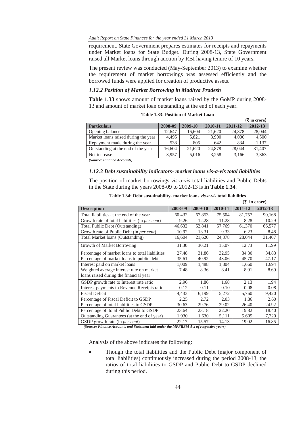#### *Audit Report on State Finances for the year ended 31 March 2013*

requirement. State Government prepares estimates for receipts and repayments under Market loans for State Budget. During 2008-13, State Government raised all Market loans through auction by RBI having tenure of 10 years.

The present review was conducted (May-September 2013) to examine whether the requirement of market borrowings was assessed efficiently and the borrowed funds were applied for creation of productive assets.

## *1.12.2 Position of Market Borrowing in Madhya Pradesh*

**Table 1.33** shows amount of market loans raised by the GoMP during 2008- 13 and amount of market loan outstanding at the end of each year.

|                                     |         |         |         |         | $(\bar{\bar{\mathbf{x}}}$ in crore) |
|-------------------------------------|---------|---------|---------|---------|-------------------------------------|
| <b>Particulars</b>                  | 2008-09 | 2009-10 | 2010-11 | 2011-12 | 2012-13                             |
| Opening balance                     | 12.647  | 16,604  | 21,620  | 24,878  | 28,044                              |
| Market loans raised during the year | 4.495   | 5,821   | 3,900   | 4,000   | 4,500                               |
| Repayment made during the year      | 538     | 805     | 642     | 834     | 1.137                               |
| Outstanding at the end of the year  | 16.604  | 21.620  | 24,878  | 28,044  | 31,407                              |
| Net increase                        | 3.957   | 5.016   | 3.258   | 3.166   | 3,363                               |
| (Saunao, Einanao Aaounto)           |         |         |         |         |                                     |

**Table 1.33: Position of Market Loan** 

*(Source: Finance Accounts)* 

## *1.12.3 Debt sustainability indicators- market loans vis-a-vis total liabilities*

The position of market borrowings *vis-a-vis* total liabilities and Public Debts in the State during the years 2008-09 to 2012-13 is **in Table 1.34**.

| $(5 \infty)$ in crore)                                 |         |         |         |         |         |
|--------------------------------------------------------|---------|---------|---------|---------|---------|
| <b>Description</b>                                     | 2008-09 | 2009-10 | 2010-11 | 2011-12 | 2012-13 |
| Total liabilities at the end of the year               | 60,432  | 67,853  | 75,504  | 81,757  | 90,168  |
| Growth rate of total liabilities (in <i>per cent</i> ) | 9.26    | 12.28   | 11.28   | 8.28    | 10.29   |
| Total Public Debt (Outstanding)                        | 46,632  | 52,841  | 57,769  | 61,370  | 66,577  |
| Growth rate of Public Debt (in per cent)               | 10.92   | 13.31   | 9.33    | 6.23    | 8.48    |
| Total Market loans (Outstanding)                       | 16,604  | 21,620  | 24,878  | 28,044  | 31,407  |
| Growth of Market Borrowing                             | 31.30   | 30.21   | 15.07   | 12.73   | 11.99   |
| Percentage of market loans to total liabilities        | 27.48   | 31.86   | 32.95   | 34.30   | 34.83   |
| Percentage of market loans to public debt              | 35.61   | 40.92   | 43.06   | 45.70   | 47.17   |
| Interest paid on market loans                          | 1,009   | 1,488   | 1,804   | 1,660   | 1,694   |
| Weighted average interest rate on market               | 7.48    | 8.36    | 8.41    | 8.91    | 8.69    |
| loans raised during the financial year                 |         |         |         |         |         |
| GSDP growth rate to Interest rate ratio                | 2.96    | 1.86    | 1.68    | 2.13    | 1.94    |
| Interest payments to Revenue Receipts ratio            | 0.12    | 0.11    | 0.10    | 0.08    | 0.08    |
| <b>Fiscal Deficit</b>                                  | 4,433   | 6,199   | 5,272   | 5,760   | 9,420   |
| Percentage of Fiscal Deficit to GSDP                   | 2.25    | 2.72    | 2.03    | 1.86    | 2.60    |
| Percentage of total liabilities to GSDP                | 30.63   | 29.76   | 29.02   | 26.40   | 24.92   |
| Percentage of total Public Debt to GSDP                | 23.64   | 23.18   | 22.20   | 19.82   | 18.40   |
| Outstanding Guarantees (at the end of year)            | 1,930   | 1,630   | 5,111   | 5,605   | 7,720   |
| GSDP growth rate (in per cent)                         | 22.17   | 15.57   | 14.13   | 19.02   | 16.85   |

**Table 1.34: Debt sustainability- market loans** *vis-a-vis* **total liabilities** 

 *(Source: Finance Accounts and Statement laid under the MPFRBM Act of respective years)* 

Analysis of the above indicates the following:

x Though the total liabilities and the Public Debt (major component of total liabilities) continuously increased during the period 2008-13, the ratios of total liabilities to GSDP and Public Debt to GSDP declined during this period.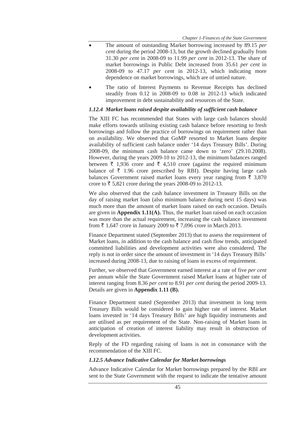- x The amount of outstanding Market borrowing increased by 89.15 *per cent* during the period 2008-13, but the growth declined gradually from 31.30 *per cent* in 2008-09 to 11.99 *per cent* in 2012-13. The share of market borrowings in Public Debt increased from 35.61 *per cent* in 2008-09 to 47.17 *per cent* in 2012-13, which indicating more dependence on market borrowings, which are of untied nature.
- The ratio of Interest Payments to Revenue Receipts has declined steadily from 0.12 in 2008-09 to 0.08 in 2012-13 which indicated improvement in debt sustainability and resources of the State.

#### *1.12.4 Market loans raised despite availability of sufficient cash balance*

The XIII FC has recommended that States with large cash balances should make efforts towards utilising existing cash balance before resorting to fresh borrowings and follow the practice of borrowings on requirement rather than on availability. We observed that GoMP resorted to Market loans despite availability of sufficient cash balance under '14 days Treasury Bills'. During 2008-09, the minimum cash balance came down to 'zero' (29.10.2008). However, during the years 2009-10 to 2012-13, the minimum balances ranged between  $\bar{\tau}$  1,936 crore and  $\bar{\tau}$  4,510 crore (against the required minimum balance of  $\bar{\tau}$  1.96 crore prescribed by RBI). Despite having large cash balances Government raised market loans every year ranging from  $\bar{\tau}$  3,870 crore to  $\bar{\xi}$  5,821 crore during the years 2008-09 to 2012-13.

We also observed that the cash balance investment in Treasury Bills on the day of raising market loan (also minimum balance during next 15 days) was much more than the amount of market loans raised on each occasion. Details are given in **Appendix 1.11(A).** Thus, the market loan raised on each occasion was more than the actual requirement, increasing the cash balance investment from  $\bar{\tau}$  1,647 crore in January 2009 to  $\bar{\tau}$  7,096 crore in March 2013.

Finance Department stated (September 2013) that to assess the requirement of Market loans, in addition to the cash balance and cash flow trends, anticipated committed liabilities and development activities were also considered. The reply is not in order since the amount of investment in '14 days Treasury Bills' increased during 2008-13, due to raising of loans in excess of requirement.

Further, we observed that Government earned interest at a rate of five *per cent*  per annum while the State Government raised Market loans at higher rate of interest ranging from 8.36 *per cent* to 8.91 *per cent* during the period 2009-13. Details are given in **Appendix 1.11 (B).** 

Finance Department stated (September 2013) that investment in long term Treasury Bills would be considered to gain higher rate of interest. Market loans invested in '14 days Treasury Bills' are high liquidity instruments and are utilised as per requirement of the State. Non-raising of Market loans in anticipation of creation of interest liability may result in obstruction of development activities.

Reply of the FD regarding raising of loans is not in consonance with the recommendation of the XIII FC.

#### *1.12.5 Advance Indicative Calendar for Market borrowings*

Advance Indicative Calendar for Market borrowings prepared by the RBI are sent to the State Government with the request to indicate the tentative amount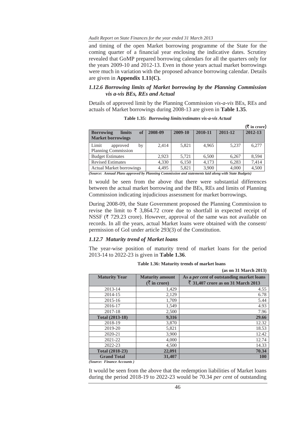#### *Audit Report on State Finances for the year ended 31 March 2013*

and timing of the open Market borrowing programme of the State for the coming quarter of a financial year enclosing the indicative dates. Scrutiny revealed that GoMP prepared borrowing calendars for all the quarters only for the years 2009-10 and 2012-13. Even in those years actual market borrowings were much in variation with the proposed advance borrowing calendar. Details are given in **Appendix 1.11(C).** 

## *1.12.6 Borrowing limits of Market borrowing by the Planning Commission vis a-vis BEs, REs and Actual*

Details of approved limit by the Planning Commission *vis-a-vis* BEs, REs and actuals of Market borrowings during 2008-13 are given in **Table 1.35**.

|                                         |         |         |         |         | (₹ in crore) |
|-----------------------------------------|---------|---------|---------|---------|--------------|
| of<br><b>Borrowing</b><br><b>limits</b> | 2008-09 | 2009-10 | 2010-11 | 2011-12 | 2012-13      |
| <b>Market borrowings</b>                |         |         |         |         |              |
| Limit<br>by<br>approved                 | 2.414   | 5.821   | 4.965   | 5.237   | 6.277        |
| Planning Commission                     |         |         |         |         |              |
| <b>Budget Estimates</b>                 | 2.923   | 5.721   | 6,500   | 6.267   | 8.594        |
| <b>Revised Estimates</b>                | 4,330   | 6,150   | 4.173   | 6,283   | 7.414        |
| <b>Actual Market borrowings</b>         | 4,495   | 5,821   | 3,900   | 4,000   | 4,500        |

**Table 1.35:** *Borrowing limits/estimates vis-a-vis Actual*

*(Source: Annual Plans approved by Planning Commission and statements laid along with State Budgets)* 

It would be seen from the above that there were substantial differences between the actual market borrowing and the BEs, REs and limits of Planning Commission indicating injudicious assessment for market borrowings.

During 2008-09, the State Government proposed the Planning Commission to revise the limit to  $\bar{\tau}$  3,864.72 crore due to shortfall in expected receipt of NSSF ( $\bar{\tau}$  729.23 crore). However, approval of the same was not available on records. In all the years, actual Market loans were obtained with the consent/ permission of GoI under article 293(3) of the Constitution.

#### *1.12.7 Maturity trend of Market loans*

The year-wise position of maturity trend of market loans for the period 2013-14 to 2022-23 is given in **Table 1.36**.

|                        |                                               | (as on 31 March 2013)                            |
|------------------------|-----------------------------------------------|--------------------------------------------------|
| <b>Maturity Year</b>   | <b>Maturity amount</b>                        | As a <i>per cent</i> of outstanding market loans |
|                        | $(\bar{\bar{\mathbf{\mathsf{z}}}})$ in crore) | ₹ 31,407 crore as on 31 March 2013               |
| 2013-14                | 1,429                                         | 4.55                                             |
| 2014-15                | 2,129                                         | 6.78                                             |
| $2015 - 16$            | 1,709                                         | 5.44                                             |
| 2016-17                | 1,549                                         | 4.93                                             |
| 2017-18                | 2,500                                         | 7.96                                             |
| <b>Total (2013-18)</b> | 9,316                                         | 29.66                                            |
| 2018-19                | 3,870                                         | 12.32                                            |
| 2019-20                | 5,821                                         | 18.53                                            |
| 2020-21                | 3,900                                         | 12.42                                            |
| 2021-22                | 4,000                                         | 12.74                                            |
| 2022-23                | 4,500                                         | 14.33                                            |
| <b>Total (2018-23)</b> | 22,091                                        | 70.34                                            |
| <b>Grand Total</b>     | 31,407                                        | <b>100</b>                                       |

**Table 1.36: Maturity trends of market loans**

*(Source: Finance Accounts )*

It would be seen from the above that the redemption liabilities of Market loans during the period 2018-19 to 2022-23 would be 70.34 *per cent* of outstanding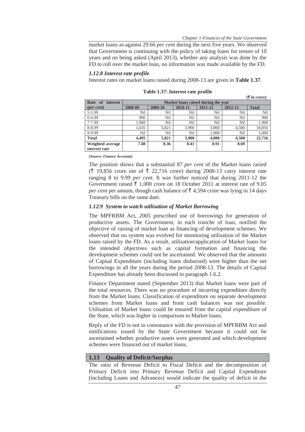$(F$  in crore)

market loans as against 29.66 *per cent* during the next five years. We observed that Government is continuing with the policy of taking loans for tenure of 10 years and on being asked (April 2013), whether any analysis was done by the FD to roll over the market loan, no information was made available by the FD.

#### *1.12.8 Interest rate profile*

Interest rates on market loans raised during 2008-13 are given in **Table 1.37**.

|                               |                                     |         |         |         |                 | $\lambda$ in crore, |  |
|-------------------------------|-------------------------------------|---------|---------|---------|-----------------|---------------------|--|
| Rate<br><i>interest</i><br>of | Market loans raised during the year |         |         |         |                 |                     |  |
| $(\text{per cent})$           | 2008-09                             | 2009-10 | 2010-11 | 2011-12 | 2012-13         | <b>Total</b>        |  |
| 5-5.99                        | Nil                                 | Nil     | Nil     | Nil     | Nil             | Nil                 |  |
| $6 - 6.99$                    | 900                                 | Nil     | Nil     | Nil     | N <sub>il</sub> | 900                 |  |
| 7-7.99                        | 1,960                               | Nil     | Nil     | Nil     | N <sub>il</sub> | 1,960               |  |
| 8-8.99                        | 1.635                               | 5.821   | 3.900   | 3.000   | 4.500           | 18,856              |  |
| 9-9.99                        | Nil                                 | Nil     | Nil     | 1.000   | Nil             | 1,000               |  |
| <b>Total</b>                  | 4.495                               | 5,821   | 3,900   | 4,000   | 4.500           | 22,716              |  |
| Weighted average              | 7.48                                | 8.36    | 8.41    | 8.91    | 8.69            |                     |  |
| interest rate                 |                                     |         |         |         |                 |                     |  |

**Table 1.37: Interest rate profile** 

*(Source: Finance Accounts)*

The position shows that a substantial 87 *per cent* of the Market loans raised  $(\bar{\xi}$  19,856 crore out of  $\bar{\xi}$  22,716 crore) during 2008-13 carry interest rate ranging 8 to 9.99 *per cent*. It was further noticed that during 2011-12 the Government raised  $\bar{\tau}$  1,000 crore on 18 October 2011 at interest rate of 9.05 *per cent* per annum, though cash balance of  $\bar{\tau}$  4,594 crore was lying in 14 days Treasury bills on the same date.

## *1.12.9 System to watch utilisation of Market Borrowing*

The MPFRBM Act, 2005 prescribed use of borrowings for generation of productive assets. The Government, in each tranche of loan, notified the objective of raising of market loan as financing of development schemes. We observed that no system was evolved for monitoring utilisation of the Market loans raised by the FD. As a result, utilisation/application of Market loans for the intended objectives such as capital formation and financing the development schemes could not be ascertained. We observed that the amounts of Capital Expenditure (including loans disbursed) were higher than the net borrowings in all the years during the period 2008-13. The details of Capital Expenditure has already been discussed in paragraph 1.6.2.

Finance Department stated (September 2013) that Market loans were part of the total resources. There was no procedure of incurring expenditure directly from the Market loans. Classification of expenditure on separate development schemes from Market loans and from cash balances was not possible. Utilisation of Market loans could be ensured from the capital expenditure of the State, which was higher in comparison to Market loans.

Reply of the FD is not in consonance with the provision of MPFRBM Act and notifications issued by the State Government because it could not be ascertained whether productive assets were generated and which development schemes were financed out of market loans.

#### **1.13 Quality of Deficit/Surplus**

The ratio of Revenue Deficit to Fiscal Deficit and the decomposition of Primary Deficit into Primary Revenue Deficit and Capital Expenditure (including Loans and Advances) would indicate the quality of deficit in the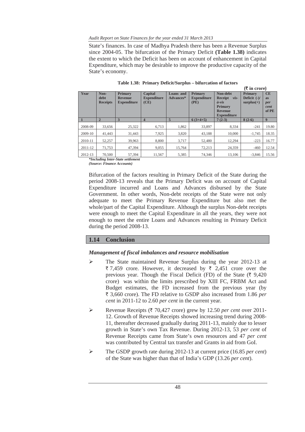*Audit Report on State Finances for the year ended 31 March 2013* 

State's finances. In case of Madhya Pradesh there has been a Revenue Surplus since 2004-05. The bifurcation of the Primary Deficit **(Table 1.38)** indicates the extent to which the Deficit has been on account of enhancement in Capital Expenditure, which may be desirable to improve the productive capacity of the State's economy.

|         |                 |                    |                    |           |                    |                                      | $(5 \times 1)$ |                  |  |  |  |
|---------|-----------------|--------------------|--------------------|-----------|--------------------|--------------------------------------|----------------|------------------|--|--|--|
| Year    | Non-            | <b>Primary</b>     | Capital            | Loans and | <b>Primary</b>     | Non-debt                             | <b>Primary</b> | CE               |  |  |  |
|         | debt            | <b>Revenue</b>     | <b>Expenditure</b> | Advances* | <b>Expenditure</b> | Receipt<br>$vis-$                    | Deficit $(-)/$ | <b>as</b>        |  |  |  |
|         | <b>Receipts</b> | <b>Expenditure</b> | (CE)               |           | (PE)               | $\dot{a}$ -vis                       | $surplus(+)$   | per              |  |  |  |
|         |                 |                    |                    |           |                    | <b>Primary</b>                       |                | cent             |  |  |  |
|         |                 |                    |                    |           |                    | <b>Revenue</b><br><b>Expenditure</b> |                | of PE            |  |  |  |
|         | $\overline{2}$  | 3                  | $\boldsymbol{4}$   | 5         | $6(3+4+5)$         | $7(2-3)$                             | $8(2-6)$       | $\boldsymbol{9}$ |  |  |  |
| 2008-09 | 33.656          | 25,322             | 6,713              | 1.862     | 33.897             | 8.334                                | $-241$         | 19.80            |  |  |  |
| 2009-10 | 41,443          | 31.443             | 7.925              | 3,820     | 43.188             | 10,000                               | $-1.745$       | 18.35            |  |  |  |
| 2010-11 | 52,257          | 39,963             | 8.800              | 3,717     | 52,480             | 12,294                               | $-223$         | 16.77            |  |  |  |
| 2011-12 | 71.753          | 47.394             | 9.055              | 15.764    | 72.213             | 24.359                               | $-460$         | 12.54            |  |  |  |
| 2012-13 | 70,500          | 57,394             | 11.567             | 5,385     | 74,346             | 13.106                               | $-3,846$       | 15.56            |  |  |  |

**Table 1.38: Primary Deficit/Surplus – bifurcation of factors** 

*\*Including Inter-State settlement* 

*(Source: Finance Accounts)*

Bifurcation of the factors resulting in Primary Deficit of the State during the period 2008-13 reveals that the Primary Deficit was on account of Capital Expenditure incurred and Loans and Advances disbursed by the State Government. In other words, Non-debt receipts of the State were not only adequate to meet the Primary Revenue Expenditure but also met the whole/part of the Capital Expenditure. Although the surplus Non-debt receipts were enough to meet the Capital Expenditure in all the years, they were not enough to meet the entire Loans and Advances resulting in Primary Deficit during the period 2008-13.

# **1.14 Conclusion**

# *Management of fiscal imbalances and resource mobilisation*

- $\triangleright$  The State maintained Revenue Surplus during the year 2012-13 at ₹7,459 crore. However, it decreased by ₹ 2,451 crore over the previous year. Though the Fiscal Deficit (FD) of the State  $(\bar{\tau}, 9,420)$ crore) was within the limits prescribed by XIII FC, FRBM Act and Budget estimates, the FD increased from the previous year (by ` 3,660 crore). The FD relative to GSDP also increased from 1.86 *per cent* in 2011-12 to 2.60 *per cent* in the current year.
- ¾ Revenue Receipts (` 70,427 crore) grew by 12.50 *per cent* over 2011- 12. Growth of Revenue Receipts showed increasing trend during 2008- 11, thereafter decreased gradually during 2011-13, mainly due to lesser growth in State's own Tax Revenue. During 2012-13, 53 *per cent* of Revenue Receipts came from State's own resources and 47 *per cent* was contributed by Central tax transfer and Grants in aid from GoI.
- ¾ The GSDP growth rate during 2012-13 at current price (16.85 *per cent*) of the State was higher than that of India's GDP (13.26 *per cent*).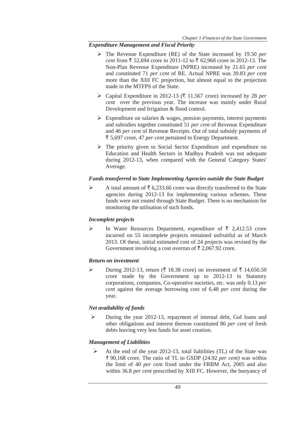# *Expenditure Management and Fiscal Priority*

- ¾ The Revenue Expenditure (RE) of the State increased by 19.50 *per cent* from  $\bar{\xi}$  52,694 crore in 2011-12 to  $\bar{\xi}$  62,968 crore in 2012-13. The Non-Plan Revenue Expenditure (NPRE) increased by 21.65 *per cent* and constituted 71 *per cent* of RE. Actual NPRE was 39.83 *per cent* more than the XIII FC projection, but almost equal to the projection made in the MTFPS of the State.
- ▶ Capital Expenditure in 2012-13 ( $\bar{z}$  11,567 crore) increased by 28 *per cent* over the previous year. The increase was mainly under Rural Development and Irrigation & flood control.
- $\triangleright$  Expenditure on salaries & wages, pension payments, interest payments and subsidies together constituted 51 *per cent* of Revenue Expenditure and 46 *per cent* of Revenue Receipts. Out of total subsidy payments of ` 5,697 crore, 47 *per cent* pertained to Energy Department.
- $\triangleright$  The priority given to Social Sector Expenditure and expenditure on Education and Health Sectors in Madhya Pradesh was not adequate during 2012-13, when compared with the General Category States' Average.

# *Funds transferred to State Implementing Agencies outside the State Budget*

A total amount of  $\bar{\tau}$  6,233.66 crore was directly transferred to the State agencies during 2012-13 for implementing various schemes. These funds were not routed through State Budget. There is no mechanism for monitoring the utilisation of such funds.

# *Incomplete projects*

 $\triangleright$  In Water Resources Department, expenditure of  $\bar{\tau}$  2,412.53 crore incurred on 55 incomplete projects remained unfruitful as of March 2013. Of these, initial estimated cost of 24 projects was revised by the Government involving a cost overrun of  $\bar{\tau}$  2,067.92 crore.

# *Return on investment*

→ During 2012-13, return (₹ 18.38 crore) on investment of ₹ 14,656.50 crore made by the Government up to 2012-13 in Statutory corporations, companies, Co-operative societies, etc. was only 0.13 *per cent* against the average borrowing cost of 6.48 *per cent* during the year.

# *Net availability of funds*

¾ During the year 2012-13, repayment of internal debt, GoI loans and other obligations and interest thereon constituted 86 *per cent* of fresh debts leaving very less funds for asset creation.

# *Management of Liabilities*

 $\triangleright$  At the end of the year 2012-13, total liabilities (TL) of the State was ` 90,168 crore. The ratio of TL to GSDP (24.92 *per cent)* was within the limit of 40 *per cent* fixed under the FRBM Act, 2005 and also within 36.8 *per cent* prescribed by XIII FC. However, the buoyancy of